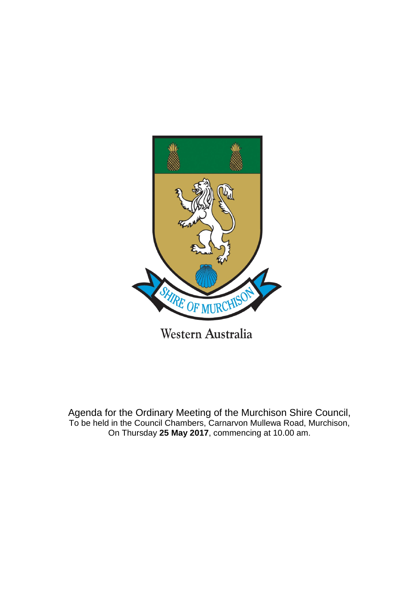

Agenda for the Ordinary Meeting of the Murchison Shire Council, To be held in the Council Chambers, Carnarvon Mullewa Road, Murchison,

On Thursday **25 May 2017**, commencing at 10.00 am.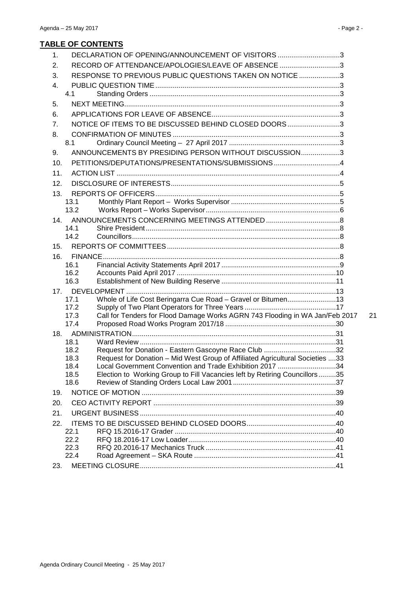# **TABLE OF CONTENTS**

| 1.  | DECLARATION OF OPENING/ANNOUNCEMENT OF VISITORS 3                                                                                                     |    |
|-----|-------------------------------------------------------------------------------------------------------------------------------------------------------|----|
| 2.  | RECORD OF ATTENDANCE/APOLOGIES/LEAVE OF ABSENCE 3                                                                                                     |    |
| 3.  | RESPONSE TO PREVIOUS PUBLIC QUESTIONS TAKEN ON NOTICE 3                                                                                               |    |
| 4.  |                                                                                                                                                       |    |
|     | 4.1                                                                                                                                                   |    |
| 5.  |                                                                                                                                                       |    |
| 6.  |                                                                                                                                                       |    |
| 7.  | NOTICE OF ITEMS TO BE DISCUSSED BEHIND CLOSED DOORS3                                                                                                  |    |
| 8.  |                                                                                                                                                       |    |
|     | 8.1                                                                                                                                                   |    |
| 9.  | ANNOUNCEMENTS BY PRESIDING PERSON WITHOUT DISCUSSION3                                                                                                 |    |
| 10. | PETITIONS/DEPUTATIONS/PRESENTATIONS/SUBMISSIONS4                                                                                                      |    |
| 11. |                                                                                                                                                       |    |
| 12. |                                                                                                                                                       |    |
| 13. |                                                                                                                                                       |    |
|     | 13.1                                                                                                                                                  |    |
|     | 13.2                                                                                                                                                  |    |
| 14. |                                                                                                                                                       |    |
|     | 14.1                                                                                                                                                  |    |
|     | 14.2                                                                                                                                                  |    |
| 15. |                                                                                                                                                       |    |
| 16. |                                                                                                                                                       |    |
|     | 16.1                                                                                                                                                  |    |
|     | 16.2<br>16.3                                                                                                                                          |    |
|     |                                                                                                                                                       |    |
| 17. | Whole of Life Cost Beringarra Cue Road - Gravel or Bitumen13<br>17.1                                                                                  |    |
|     | 17.2                                                                                                                                                  |    |
|     | Call for Tenders for Flood Damage Works AGRN 743 Flooding in WA Jan/Feb 2017<br>17.3                                                                  | 21 |
|     | 17.4                                                                                                                                                  |    |
| 18. |                                                                                                                                                       |    |
|     | 18.1                                                                                                                                                  |    |
|     | Request for Donation - Eastern Gascoyne Race Club 32<br>18.2<br>Request for Donation - Mid West Group of Affiliated Agricultural Societies 33<br>18.3 |    |
|     | Local Government Convention and Trade Exhibition 2017 34<br>18.4                                                                                      |    |
|     | Election to Working Group to Fill Vacancies left by Retiring Councillors35<br>18.5                                                                    |    |
|     | 18.6                                                                                                                                                  |    |
| 19. |                                                                                                                                                       |    |
| 20. |                                                                                                                                                       |    |
| 21. |                                                                                                                                                       |    |
| 22. |                                                                                                                                                       |    |
|     | 22.1                                                                                                                                                  |    |
|     | 22.2                                                                                                                                                  |    |
|     | 22.3                                                                                                                                                  |    |
|     | 22.4                                                                                                                                                  |    |
| 23. |                                                                                                                                                       |    |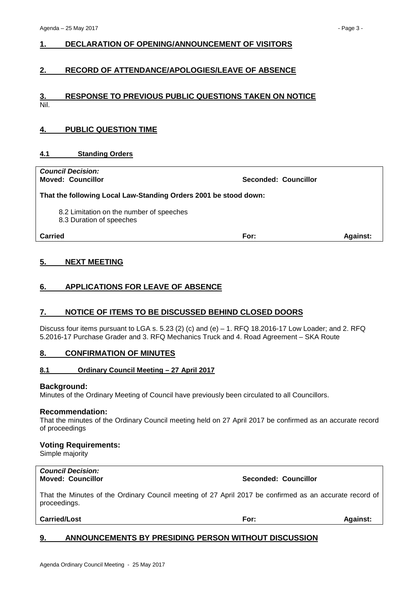### <span id="page-2-0"></span>**1. DECLARATION OF OPENING/ANNOUNCEMENT OF VISITORS**

#### <span id="page-2-1"></span>**2. RECORD OF ATTENDANCE/APOLOGIES/LEAVE OF ABSENCE**

#### <span id="page-2-2"></span>**3. RESPONSE TO PREVIOUS PUBLIC QUESTIONS TAKEN ON NOTICE** Nil.

### <span id="page-2-3"></span>**4. PUBLIC QUESTION TIME**

#### <span id="page-2-4"></span>**4.1 Standing Orders**

| <b>Council Decision:</b><br><b>Moved: Councillor</b>                 | Seconded: Councillor |                 |
|----------------------------------------------------------------------|----------------------|-----------------|
| That the following Local Law-Standing Orders 2001 be stood down:     |                      |                 |
| 8.2 Limitation on the number of speeches<br>8.3 Duration of speeches |                      |                 |
| Carried                                                              | For:                 | <b>Against:</b> |
|                                                                      |                      |                 |

#### <span id="page-2-5"></span>**5. NEXT MEETING**

#### <span id="page-2-6"></span>**6. APPLICATIONS FOR LEAVE OF ABSENCE**

#### <span id="page-2-7"></span>**7. NOTICE OF ITEMS TO BE DISCUSSED BEHIND CLOSED DOORS**

Discuss four items pursuant to LGA s. 5.23 (2) (c) and (e)  $-1$ . RFQ 18.2016-17 Low Loader; and 2. RFQ 5.2016-17 Purchase Grader and 3. RFQ Mechanics Truck and 4. Road Agreement – SKA Route

#### <span id="page-2-8"></span>**8. CONFIRMATION OF MINUTES**

#### <span id="page-2-9"></span>**8.1 Ordinary Council Meeting – 27 April 2017**

#### **Background:**

Minutes of the Ordinary Meeting of Council have previously been circulated to all Councillors.

#### **Recommendation:**

That the minutes of the Ordinary Council meeting held on 27 April 2017 be confirmed as an accurate record of proceedings

#### **Voting Requirements:**

Simple majority

# *Council Decision:*

#### **Moved: Councillor Seconded: Councillor**

That the Minutes of the Ordinary Council meeting of 27 April 2017 be confirmed as an accurate record of proceedings.

#### **Carried/Lost For: Against:**

#### <span id="page-2-10"></span>**9. ANNOUNCEMENTS BY PRESIDING PERSON WITHOUT DISCUSSION**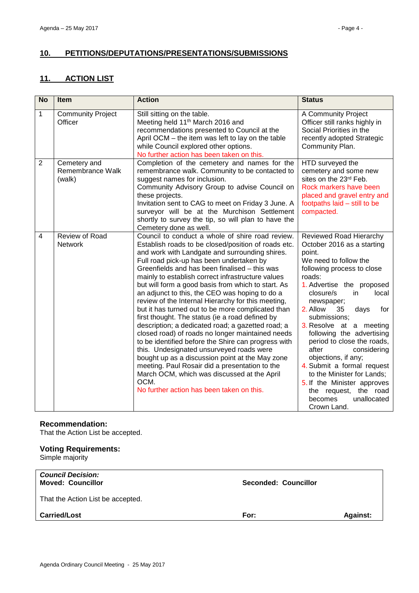# <span id="page-3-0"></span>**10. PETITIONS/DEPUTATIONS/PRESENTATIONS/SUBMISSIONS**

# <span id="page-3-1"></span>**11. ACTION LIST**

| <b>No</b>      | Item                                       | <b>Action</b>                                                                                                                                                                                                                                                                                                                                                                                                                                                                                                                                                                                                                                                                                                                                                                                                                                                                                                                                                                                          | <b>Status</b>                                                                                                                                                                                                                                                                                                                                                                                                                                                                                                                                              |
|----------------|--------------------------------------------|--------------------------------------------------------------------------------------------------------------------------------------------------------------------------------------------------------------------------------------------------------------------------------------------------------------------------------------------------------------------------------------------------------------------------------------------------------------------------------------------------------------------------------------------------------------------------------------------------------------------------------------------------------------------------------------------------------------------------------------------------------------------------------------------------------------------------------------------------------------------------------------------------------------------------------------------------------------------------------------------------------|------------------------------------------------------------------------------------------------------------------------------------------------------------------------------------------------------------------------------------------------------------------------------------------------------------------------------------------------------------------------------------------------------------------------------------------------------------------------------------------------------------------------------------------------------------|
| 1              | <b>Community Project</b><br>Officer        | Still sitting on the table.<br>Meeting held 11 <sup>th</sup> March 2016 and<br>recommendations presented to Council at the<br>April OCM - the item was left to lay on the table<br>while Council explored other options.<br>No further action has been taken on this.                                                                                                                                                                                                                                                                                                                                                                                                                                                                                                                                                                                                                                                                                                                                  | A Community Project<br>Officer still ranks highly in<br>Social Priorities in the<br>recently adopted Strategic<br>Community Plan.                                                                                                                                                                                                                                                                                                                                                                                                                          |
| 2              | Cemetery and<br>Remembrance Walk<br>(walk) | Completion of the cemetery and names for the<br>remembrance walk. Community to be contacted to<br>suggest names for inclusion.<br>Community Advisory Group to advise Council on<br>these projects.<br>Invitation sent to CAG to meet on Friday 3 June. A<br>surveyor will be at the Murchison Settlement<br>shortly to survey the tip, so will plan to have the<br>Cemetery done as well.                                                                                                                                                                                                                                                                                                                                                                                                                                                                                                                                                                                                              | HTD surveyed the<br>cemetery and some new<br>sites on the 23rd Feb.<br>Rock markers have been<br>placed and gravel entry and<br>footpaths laid - still to be<br>compacted.                                                                                                                                                                                                                                                                                                                                                                                 |
| $\overline{4}$ | Review of Road<br>Network                  | Council to conduct a whole of shire road review.<br>Establish roads to be closed/position of roads etc.<br>and work with Landgate and surrounding shires.<br>Full road pick-up has been undertaken by<br>Greenfields and has been finalised - this was<br>mainly to establish correct infrastructure values<br>but will form a good basis from which to start. As<br>an adjunct to this, the CEO was hoping to do a<br>review of the Internal Hierarchy for this meeting,<br>but it has turned out to be more complicated than<br>first thought. The status (ie a road defined by<br>description; a dedicated road; a gazetted road; a<br>closed road) of roads no longer maintained needs<br>to be identified before the Shire can progress with<br>this. Undesignated unsurveyed roads were<br>bought up as a discussion point at the May zone<br>meeting. Paul Rosair did a presentation to the<br>March OCM, which was discussed at the April<br>OCM.<br>No further action has been taken on this. | Reviewed Road Hierarchy<br>October 2016 as a starting<br>point.<br>We need to follow the<br>following process to close<br>roads:<br>1. Advertise the proposed<br>closure/s<br>local<br>in<br>newspaper;<br>2. Allow<br>35<br>days<br>for<br>submissions;<br>3. Resolve at a meeting<br>following the advertising<br>period to close the roads,<br>after<br>considering<br>objections, if any;<br>4. Submit a formal request<br>to the Minister for Lands;<br>5. If the Minister approves<br>the request, the road<br>unallocated<br>becomes<br>Crown Land. |

#### **Recommendation:**

That the Action List be accepted.

#### **Voting Requirements:**

Simple majority

| <b>Council Decision:</b><br><b>Moved: Councillor</b> | Seconded: Councillor |                 |
|------------------------------------------------------|----------------------|-----------------|
| That the Action List be accepted.                    |                      |                 |
| <b>Carried/Lost</b>                                  | For:                 | <b>Against:</b> |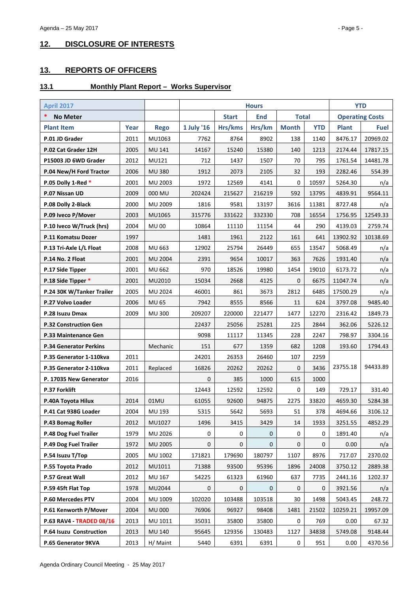# <span id="page-4-0"></span>**12. DISCLOSURE OF INTERESTS**

# <span id="page-4-1"></span>**13. REPORTS OF OFFICERS**

# <span id="page-4-2"></span>**13.1 Monthly Plant Report – Works Supervisor**

| <b>April 2017</b>             |      |                |             | <b>Hours</b> |             |              |            | <b>YTD</b>   |                        |
|-------------------------------|------|----------------|-------------|--------------|-------------|--------------|------------|--------------|------------------------|
| *<br><b>No Meter</b>          |      |                |             | <b>Start</b> | <b>End</b>  | <b>Total</b> |            |              | <b>Operating Costs</b> |
| <b>Plant Item</b>             | Year | <b>Rego</b>    | 1 July '16  | Hrs/kms      | Hrs/km      | <b>Month</b> | <b>YTD</b> | <b>Plant</b> | <b>Fuel</b>            |
| P.01 JD Grader                | 2011 | MU1063         | 7762        | 8764         | 8902        | 138          | 1140       | 8476.17      | 20969.02               |
| P.02 Cat Grader 12H           | 2005 | <b>MU 141</b>  | 14167       | 15240        | 15380       | 140          | 1213       | 2174.44      | 17817.15               |
| P15003 JD 6WD Grader          | 2012 | MU121          | 712         | 1437         | 1507        | 70           | 795        | 1761.54      | 14481.78               |
| P.04 New/H Ford Tractor       | 2006 | <b>MU 380</b>  | 1912        | 2073         | 2105        | 32           | 193        | 2282.46      | 554.39                 |
| P.05 Dolly 1-Red *            | 2001 | MU 2003        | 1972        | 12569        | 4141        | $\mathbf 0$  | 10597      | 5264.30      | n/a                    |
| P.07 Nissan UD                | 2009 | 000 MU         | 202424      | 215627       | 216219      | 592          | 13795      | 4839.91      | 9564.11                |
| P.08 Dolly 2-Black            | 2000 | MU 2009        | 1816        | 9581         | 13197       | 3616         | 11381      | 8727.48      | n/a                    |
| P.09 Iveco P/Mover            | 2003 | MU1065         | 315776      | 331622       | 332330      | 708          | 16554      | 1756.95      | 12549.33               |
| P.10 Iveco W/Truck (hrs)      | 2004 | <b>MU 00</b>   | 10864       | 11110        | 11154       | 44           | 290        | 4139.03      | 2759.74                |
| P.11 Komatsu Dozer            | 1997 |                | 1481        | 1961         | 2122        | 161          | 641        | 13902.92     | 10138.69               |
| P.13 Tri-Axle L/L Float       | 2008 | MU 663         | 12902       | 25794        | 26449       | 655          | 13547      | 5068.49      | n/a                    |
| P.14 No. 2 Float              | 2001 | <b>MU 2004</b> | 2391        | 9654         | 10017       | 363          | 7626       | 1931.40      | n/a                    |
| P.17 Side Tipper              | 2001 | <b>MU 662</b>  | 970         | 18526        | 19980       | 1454         | 19010      | 6173.72      | n/a                    |
| P.18 Side Tipper *            | 2001 | MU2010         | 15034       | 2668         | 4125        | 0            | 6675       | 11047.74     | n/a                    |
| P.24 30K W/Tanker Trailer     | 2005 | MU 2024        | 46001       | 861          | 3673        | 2812         | 6485       | 17500.29     | n/a                    |
| P.27 Volvo Loader             | 2006 | <b>MU 65</b>   | 7942        | 8555         | 8566        | 11           | 624        | 3797.08      | 9485.40                |
| P.28 Isuzu Dmax               | 2009 | <b>MU 300</b>  | 209207      | 220000       | 221477      | 1477         | 12270      | 2316.42      | 1849.73                |
| <b>P.32 Construction Gen</b>  |      |                | 22437       | 25056        | 25281       | 225          | 2844       | 362.06       | 5226.12                |
| P.33 Maintenance Gen          |      |                | 9098        | 11117        | 11345       | 228          | 2247       | 798.97       | 3304.16                |
| <b>P.34 Generator Perkins</b> |      | Mechanic       | 151         | 677          | 1359        | 682          | 1208       | 193.60       | 1794.43                |
| P.35 Generator 1-110kva       | 2011 |                | 24201       | 26353        | 26460       | 107          | 2259       |              |                        |
| P.35 Generator 2-110kva       | 2011 | Replaced       | 16826       | 20262        | 20262       | 0            | 3436       | 23755.18     | 94433.89               |
| P. 17035 New Generator        | 2016 |                | 0           | 385          | 1000        | 615          | 1000       |              |                        |
| <b>P.37 Forklift</b>          |      |                | 12443       | 12592        | 12592       | $\pmb{0}$    | 149        | 729.17       | 331.40                 |
| P.40A Toyota Hilux            | 2014 | 01MU           | 61055       | 92600        | 94875       | 2275         | 33820      | 4659.30      | 5284.38                |
| P.41 Cat 938G Loader          | 2004 | MU 193         | 5315        | 5642         | 5693        | 51           | 378        | 4694.66      | 3106.12                |
| P.43 Bomag Roller             | 2012 | MU1027         | 1496        | 3415         | 3429        | 14           | 1933       | 3251.55      | 4852.29                |
| P.48 Dog Fuel Trailer         | 1979 | MU 2026        | 0           | 0            | 0           | $\mathbf 0$  | 0          | 1891.40      | n/a                    |
| P.49 Dog Fuel Trailer         | 1972 | MU 2005        | 0           | 0            | $\mathbf 0$ | 0            | 0          | 0.00         | n/a                    |
| P.54 Isuzu T/Top              | 2005 | MU 1002        | 171821      | 179690       | 180797      | 1107         | 8976       | 717.07       | 2370.02                |
| P.55 Toyota Prado             | 2012 | MU1011         | 71388       | 93500        | 95396       | 1896         | 24008      | 3750.12      | 2889.38                |
| P.57 Great Wall               | 2012 | MU 167         | 54225       | 61323        | 61960       | 637          | 7735       | 2441.16      | 1202.37                |
| P.59 45ft Flat Top            | 1978 | MU2044         | $\mathbf 0$ | 0            | 0           | $\mathbf 0$  | 0          | 3921.56      | n/a                    |
| P.60 Mercedes PTV             | 2004 | MU 1009        | 102020      | 103488       | 103518      | 30           | 1498       | 5043.45      | 248.72                 |
| P.61 Kenworth P/Mover         | 2004 | <b>MU 000</b>  | 76906       | 96927        | 98408       | 1481         | 21502      | 10259.21     | 19957.09               |
| P.63 RAV4 - TRADED 08/16      | 2013 | MU 1011        | 35031       | 35800        | 35800       | $\mathbf 0$  | 769        | 0.00         | 67.32                  |
| P.64 Isuzu Construction       | 2013 | MU 140         | 95645       | 129356       | 130483      | 1127         | 34838      | 5749.08      | 9148.44                |
| P.65 Generator 9KVA           | 2013 | H/ Maint       | 5440        | 6391         | 6391        | 0            | 951        | 0.00         | 4370.56                |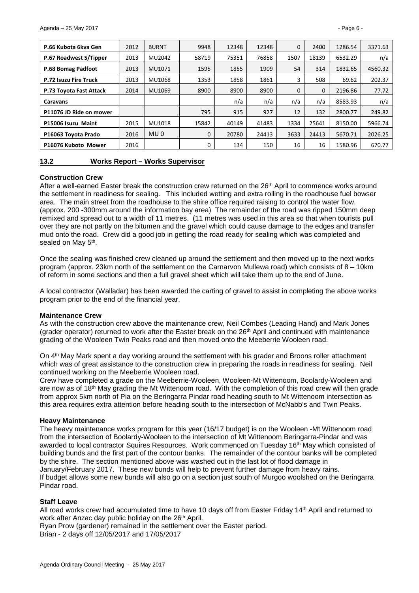| P.66 Kubota 6kva Gen         | 2012 | <b>BURNT</b>    | 9948        | 12348 | 12348 | $\Omega$ | 2400         | 1286.54 | 3371.63 |
|------------------------------|------|-----------------|-------------|-------|-------|----------|--------------|---------|---------|
| P.67 Roadwest S/Tipper       | 2013 | MU2042          | 58719       | 75351 | 76858 | 1507     | 18139        | 6532.29 | n/a     |
| P.68 Bomag Padfoot           | 2013 | MU1071          | 1595        | 1855  | 1909  | 54       | 314          | 1832.65 | 4560.32 |
| <b>P.72 Isuzu Fire Truck</b> | 2013 | MU1068          | 1353        | 1858  | 1861  | 3        | 508          | 69.62   | 202.37  |
| P.73 Toyota Fast Attack      | 2014 | MU1069          | 8900        | 8900  | 8900  | $\Omega$ | $\mathbf{0}$ | 2196.86 | 77.72   |
| Caravans                     |      |                 |             | n/a   | n/a   | n/a      | n/a          | 8583.93 | n/a     |
| P11076 JD Ride on mower      |      |                 | 795         | 915   | 927   | 12       | 132          | 2800.77 | 249.82  |
| P15006 Isuzu Maint           | 2015 | MU1018          | 15842       | 40149 | 41483 | 1334     | 25641        | 8150.00 | 5966.74 |
| P16063 Toyota Prado          | 2016 | MU <sub>0</sub> | $\mathbf 0$ | 20780 | 24413 | 3633     | 24413        | 5670.71 | 2026.25 |
| P16076 Kuboto Mower          | 2016 |                 | $\Omega$    | 134   | 150   | 16       | 16           | 1580.96 | 670.77  |

<span id="page-5-0"></span>

| 13.2 | <b>Works Report - Works Supervisor</b> |
|------|----------------------------------------|
|      |                                        |

#### **Construction Crew**

After a well-earned Easter break the construction crew returned on the 26<sup>th</sup> April to commence works around the settlement in readiness for sealing. This included wetting and extra rolling in the roadhouse fuel bowser area. The main street from the roadhouse to the shire office required raising to control the water flow. (approx. 200 -300mm around the information bay area) The remainder of the road was ripped 150mm deep remixed and spread out to a width of 11 metres. (11 metres was used in this area so that when tourists pull over they are not partly on the bitumen and the gravel which could cause damage to the edges and transfer mud onto the road. Crew did a good job in getting the road ready for sealing which was completed and sealed on May 5<sup>th</sup>.

Once the sealing was finished crew cleaned up around the settlement and then moved up to the next works program (approx. 23km north of the settlement on the Carnarvon Mullewa road) which consists of 8 – 10km of reform in some sections and then a full gravel sheet which will take them up to the end of June.

A local contractor (Walladar) has been awarded the carting of gravel to assist in completing the above works program prior to the end of the financial year.

#### **Maintenance Crew**

As with the construction crew above the maintenance crew, Neil Combes (Leading Hand) and Mark Jones (grader operator) returned to work after the Easter break on the  $26<sup>th</sup>$  April and continued with maintenance grading of the Wooleen Twin Peaks road and then moved onto the Meeberrie Wooleen road.

On 4th May Mark spent a day working around the settlement with his grader and Broons roller attachment which was of great assistance to the construction crew in preparing the roads in readiness for sealing. Neil continued working on the Meeberrie Wooleen road.

Crew have completed a grade on the Meeberrie-Wooleen, Wooleen-Mt Wittenoom, Boolardy-Wooleen and are now as of 18<sup>th</sup> May grading the Mt Wittenoom road. With the completion of this road crew will then grade from approx 5km north of Pia on the Beringarra Pindar road heading south to Mt Wittenoom intersection as this area requires extra attention before heading south to the intersection of McNabb's and Twin Peaks.

#### **Heavy Maintenance**

The heavy maintenance works program for this year (16/17 budget) is on the Wooleen -Mt Wittenoom road from the intersection of Boolardy-Wooleen to the intersection of Mt Wittenoom Beringarra-Pindar and was awarded to local contractor Squires Resources. Work commenced on Tuesday 16th May which consisted of building bunds and the first part of the contour banks. The remainder of the contour banks will be completed by the shire. The section mentioned above was washed out in the last lot of flood damage in January/February 2017. These new bunds will help to prevent further damage from heavy rains. If budget allows some new bunds will also go on a section just south of Murgoo woolshed on the Beringarra Pindar road.

#### **Staff Leave**

All road works crew had accumulated time to have 10 days off from Easter Friday 14th April and returned to work after Anzac day public holiday on the 26<sup>th</sup> April.

Ryan Prow (gardener) remained in the settlement over the Easter period.

Brian - 2 days off 12/05/2017 and 17/05/2017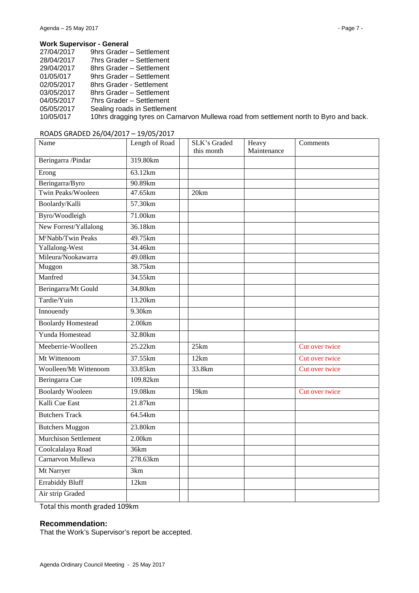#### **Work Supervisor - General**

| 27/04/2017 | 9hrs Grader – Settlement                                                               |
|------------|----------------------------------------------------------------------------------------|
| 28/04/2017 | 7hrs Grader - Settlement                                                               |
| 29/04/2017 | 8hrs Grader - Settlement                                                               |
| 01/05/017  | 9hrs Grader - Settlement                                                               |
| 02/05/2017 | 8hrs Grader - Settlement                                                               |
| 03/05/2017 | 8hrs Grader - Settlement                                                               |
| 04/05/2017 | 7hrs Grader - Settlement                                                               |
| 05/05/2017 | Sealing roads in Settlement                                                            |
| 10/05/017  | 10hrs dragging tyres on Carnarvon Mullewa road from settlement north to Byro and back. |
|            |                                                                                        |

#### ROADS GRADED 26/04/2017 – 19/05/2017

| Name                           | Length of Road | <b>SLK's Graded</b><br>this month | Heavy<br>Maintenance | Comments       |
|--------------------------------|----------------|-----------------------------------|----------------------|----------------|
| Beringarra /Pindar             | 319.80km       |                                   |                      |                |
| Erong                          | 63.12km        |                                   |                      |                |
| Beringarra/Byro                | 90.89km        |                                   |                      |                |
| Twin Peaks/Wooleen             | 47.65km        | 20km                              |                      |                |
| Boolardy/Kalli                 | 57.30km        |                                   |                      |                |
| Byro/Woodleigh                 | 71.00km        |                                   |                      |                |
| New Forrest/Yallalong          | 36.18km        |                                   |                      |                |
| M <sup>c</sup> Nabb/Twin Peaks | 49.75km        |                                   |                      |                |
| Yallalong-West                 | 34.46km        |                                   |                      |                |
| Mileura/Nookawarra             | 49.08km        |                                   |                      |                |
| Muggon                         | 38.75km        |                                   |                      |                |
| Manfred                        | 34.55km        |                                   |                      |                |
| Beringarra/Mt Gould            | 34.80km        |                                   |                      |                |
| Tardie/Yuin                    | 13.20km        |                                   |                      |                |
| Innouendy                      | 9.30km         |                                   |                      |                |
| <b>Boolardy Homestead</b>      | 2.00km         |                                   |                      |                |
| Yunda Homestead                | 32.80km        |                                   |                      |                |
| Meeberrie-Woolleen             | 25.22km        | 25km                              |                      | Cut over twice |
| Mt Wittenoom                   | 37.55km        | 12km                              |                      | Cut over twice |
| <b>Woolleen/Mt Wittenoom</b>   | 33.85km        | 33.8km                            |                      | Cut over twice |
| Beringarra Cue                 | 109.82km       |                                   |                      |                |
| <b>Boolardy Wooleen</b>        | 19.08km        | 19km                              |                      | Cut over twice |
| Kalli Cue East                 | 21.87km        |                                   |                      |                |
| <b>Butchers Track</b>          | 64.54km        |                                   |                      |                |
| <b>Butchers Muggon</b>         | 23.80km        |                                   |                      |                |
| <b>Murchison Settlement</b>    | 2.00km         |                                   |                      |                |
| Coolcalalaya Road              | 36km           |                                   |                      |                |
| Carnarvon Mullewa              | 278.63km       |                                   |                      |                |
| Mt Narryer                     | 3km            |                                   |                      |                |
| <b>Errabiddy Bluff</b>         | 12km           |                                   |                      |                |
| Air strip Graded               |                |                                   |                      |                |

Total this month graded 109km

#### **Recommendation:**

That the Work's Supervisor's report be accepted.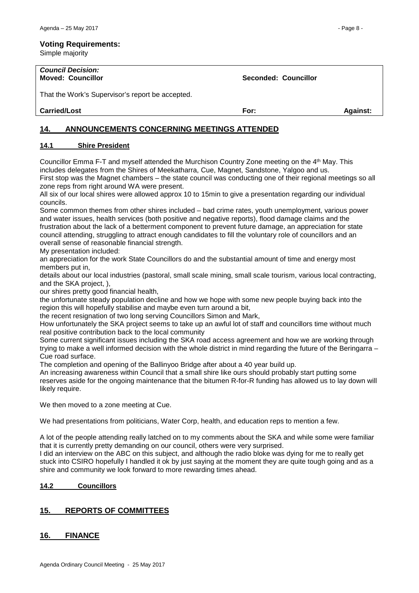#### **Voting Requirements:**

Simple majority

| <b>Council Decision:</b><br><b>Moved: Councillor</b> | Seconded: Councillor |                 |
|------------------------------------------------------|----------------------|-----------------|
| That the Work's Supervisor's report be accepted.     |                      |                 |
| <b>Carried/Lost</b>                                  | For:                 | <b>Against:</b> |

# <span id="page-7-0"></span>**14. ANNOUNCEMENTS CONCERNING MEETINGS ATTENDED**

#### <span id="page-7-1"></span>**14.1 Shire President**

Councillor Emma F-T and myself attended the Murchison Country Zone meeting on the 4th May. This includes delegates from the Shires of Meekatharra, Cue, Magnet, Sandstone, Yalgoo and us. First stop was the Magnet chambers – the state council was conducting one of their regional meetings so all zone reps from right around WA were present.

All six of our local shires were allowed approx 10 to 15min to give a presentation regarding our individual councils.

Some common themes from other shires included – bad crime rates, youth unemployment, various power and water issues, health services (both positive and negative reports), flood damage claims and the frustration about the lack of a betterment component to prevent future damage, an appreciation for state council attending, struggling to attract enough candidates to fill the voluntary role of councillors and an overall sense of reasonable financial strength.

My presentation included:

an appreciation for the work State Councillors do and the substantial amount of time and energy most members put in,

details about our local industries (pastoral, small scale mining, small scale tourism, various local contracting, and the SKA project, ),

our shires pretty good financial health,

the unfortunate steady population decline and how we hope with some new people buying back into the region this will hopefully stabilise and maybe even turn around a bit,

the recent resignation of two long serving Councillors Simon and Mark,

How unfortunately the SKA project seems to take up an awful lot of staff and councillors time without much real positive contribution back to the local community

Some current significant issues including the SKA road access agreement and how we are working through trying to make a well informed decision with the whole district in mind regarding the future of the Beringarra – Cue road surface.

The completion and opening of the Ballinyoo Bridge after about a 40 year build up.

An increasing awareness within Council that a small shire like ours should probably start putting some reserves aside for the ongoing maintenance that the bitumen R-for-R funding has allowed us to lay down will likely require.

We then moved to a zone meeting at Cue.

We had presentations from politicians, Water Corp, health, and education reps to mention a few.

A lot of the people attending really latched on to my comments about the SKA and while some were familiar that it is currently pretty demanding on our council, others were very surprised.

I did an interview on the ABC on this subject, and although the radio bloke was dying for me to really get stuck into CSIRO hopefully I handled it ok by just saying at the moment they are quite tough going and as a shire and community we look forward to more rewarding times ahead.

#### <span id="page-7-2"></span>**14.2 Councillors**

### <span id="page-7-3"></span>**15. REPORTS OF COMMITTEES**

### <span id="page-7-4"></span>**16. FINANCE**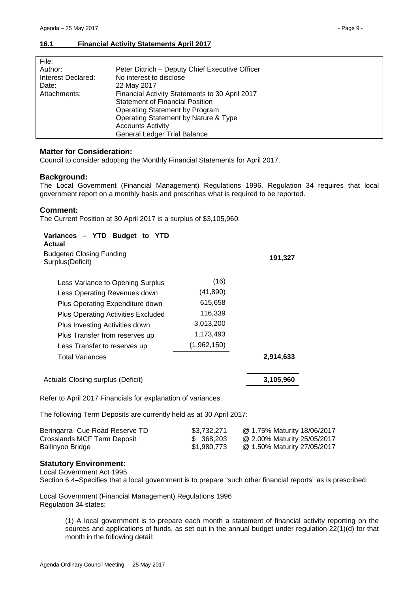<span id="page-8-0"></span>

| Peter Dittrich - Deputy Chief Executive Officer |
|-------------------------------------------------|
| No interest to disclose                         |
| 22 May 2017                                     |
| Financial Activity Statements to 30 April 2017  |
| <b>Statement of Financial Position</b>          |
| Operating Statement by Program                  |
| Operating Statement by Nature & Type            |
| <b>Accounts Activity</b>                        |
| General Ledger Trial Balance                    |
|                                                 |

#### **Matter for Consideration:**

Council to consider adopting the Monthly Financial Statements for April 2017.

#### **Background:**

The Local Government (Financial Management) Regulations 1996. Regulation 34 requires that local government report on a monthly basis and prescribes what is required to be reported.

#### **Comment:**

The Current Position at 30 April 2017 is a surplus of \$3,105,960.

# **Variances – YTD Budget to YTD**

| Actual                                              |             |           |
|-----------------------------------------------------|-------------|-----------|
| <b>Budgeted Closing Funding</b><br>Surplus(Deficit) |             | 191,327   |
| Less Variance to Opening Surplus                    | (16)        |           |
| Less Operating Revenues down                        | (41, 890)   |           |
| Plus Operating Expenditure down                     | 615,658     |           |
| <b>Plus Operating Activities Excluded</b>           | 116,339     |           |
| Plus Investing Activities down                      | 3,013,200   |           |
| Plus Transfer from reserves up                      | 1,173,493   |           |
| Less Transfer to reserves up                        | (1,962,150) |           |
| <b>Total Variances</b>                              |             | 2,914,633 |
| Actuals Closing surplus (Deficit)                   |             | 3,105,960 |

Refer to April 2017 Financials for explanation of variances.

The following Term Deposits are currently held as at 30 April 2017:

| Beringarra- Cue Road Reserve TD | \$3.732.271 | @ 1.75% Maturity 18/06/2017 |
|---------------------------------|-------------|-----------------------------|
| Crosslands MCF Term Deposit     | \$ 368,203  | @ 2.00% Maturity 25/05/2017 |
| Ballinyoo Bridge                | \$1,980,773 | @ 1.50% Maturity 27/05/2017 |

#### **Statutory Environment:**

Local Government Act 1995

Section 6.4–Specifies that a local government is to prepare "such other financial reports" as is prescribed.

Local Government (Financial Management) Regulations 1996 Regulation 34 states:

> (1) A local government is to prepare each month a statement of financial activity reporting on the sources and applications of funds, as set out in the annual budget under regulation 22(1)(d) for that month in the following detail: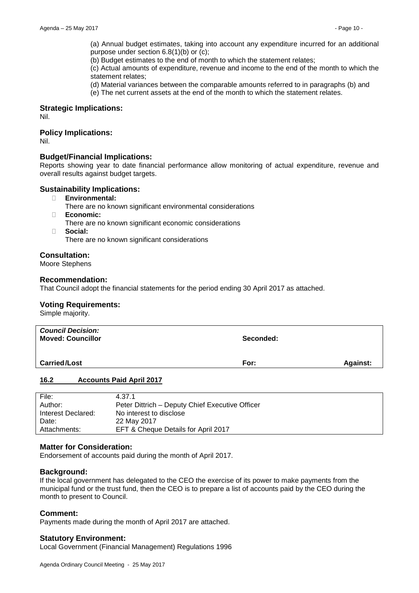(a) Annual budget estimates, taking into account any expenditure incurred for an additional purpose under section 6.8(1)(b) or (c);

(b) Budget estimates to the end of month to which the statement relates;

(c) Actual amounts of expenditure, revenue and income to the end of the month to which the statement relates;

(d) Material variances between the comparable amounts referred to in paragraphs (b) and

(e) The net current assets at the end of the month to which the statement relates.

#### **Strategic Implications:**

Nil.

#### **Policy Implications:**

Nil.

#### **Budget/Financial Implications:**

Reports showing year to date financial performance allow monitoring of actual expenditure, revenue and overall results against budget targets.

#### **Sustainability Implications:**

- � **Environmental:**
	- There are no known significant environmental considerations
- � **Economic:**
	- There are no known significant economic considerations
- � **Social:**

There are no known significant considerations

#### **Consultation:**

Moore Stephens

#### **Recommendation:**

That Council adopt the financial statements for the period ending 30 April 2017 as attached.

#### **Voting Requirements:**

Simple majority.

| <b>Council Decision:</b><br><b>Moved: Councillor</b> | Seconded: |                 |
|------------------------------------------------------|-----------|-----------------|
| <b>Carried/Lost</b>                                  | For:      | <b>Against:</b> |

#### <span id="page-9-0"></span>**16.2 Accounts Paid April 2017**

| 4.37.1                                          |
|-------------------------------------------------|
| Peter Dittrich - Deputy Chief Executive Officer |
| No interest to disclose                         |
| 22 May 2017                                     |
| EFT & Cheque Details for April 2017             |
|                                                 |

#### **Matter for Consideration:**

Endorsement of accounts paid during the month of April 2017.

#### **Background:**

If the local government has delegated to the CEO the exercise of its power to make payments from the municipal fund or the trust fund, then the CEO is to prepare a list of accounts paid by the CEO during the month to present to Council.

#### **Comment:**

Payments made during the month of April 2017 are attached.

#### **Statutory Environment:**

Local Government (Financial Management) Regulations 1996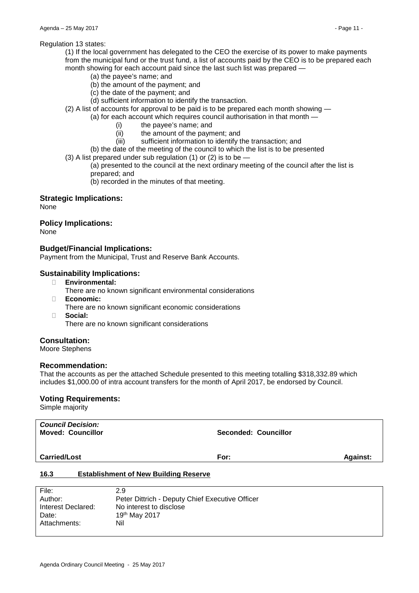#### Regulation 13 states:

(1) If the local government has delegated to the CEO the exercise of its power to make payments from the municipal fund or the trust fund, a list of accounts paid by the CEO is to be prepared each month showing for each account paid since the last such list was prepared —

- (a) the payee's name; and
- (b) the amount of the payment; and
- (c) the date of the payment; and
- (d) sufficient information to identify the transaction.
- (2) A list of accounts for approval to be paid is to be prepared each month showing
	- (a) for each account which requires council authorisation in that month -
		- (i) the payee's name; and
		- (ii) the amount of the payment; and<br>(iii) sufficient information to identify t
		- sufficient information to identify the transaction; and
		- (b) the date of the meeting of the council to which the list is to be presented
- (3) A list prepared under sub regulation (1) or (2) is to be  $-$

(a) presented to the council at the next ordinary meeting of the council after the list is prepared; and

(b) recorded in the minutes of that meeting.

#### **Strategic Implications:**

None

#### **Policy Implications:**

None

#### **Budget/Financial Implications:**

Payment from the Municipal, Trust and Reserve Bank Accounts.

#### **Sustainability Implications:**

- � **Environmental:**
	- There are no known significant environmental considerations
- � **Economic:**
	- There are no known significant economic considerations
- � **Social:**

There are no known significant considerations

#### **Consultation:**

Moore Stephens

#### **Recommendation:**

That the accounts as per the attached Schedule presented to this meeting totalling \$318,332.89 which includes \$1,000.00 of intra account transfers for the month of April 2017, be endorsed by Council.

#### **Voting Requirements:**

Simple majority

| <b>Council Decision:</b><br><b>Moved: Councillor</b> | <b>Seconded: Councillor</b> |                 |
|------------------------------------------------------|-----------------------------|-----------------|
| <b>Carried/Lost</b>                                  | For:                        | <b>Against:</b> |
| 16.3<br><b>Establishment of New Building Reserve</b> |                             |                 |

<span id="page-10-0"></span>

| File:              | 2.9                                             |
|--------------------|-------------------------------------------------|
| Author:            | Peter Dittrich - Deputy Chief Executive Officer |
| Interest Declared: | No interest to disclose                         |
| Date:              | 19th May 2017                                   |
| Attachments:       | Nil                                             |
|                    |                                                 |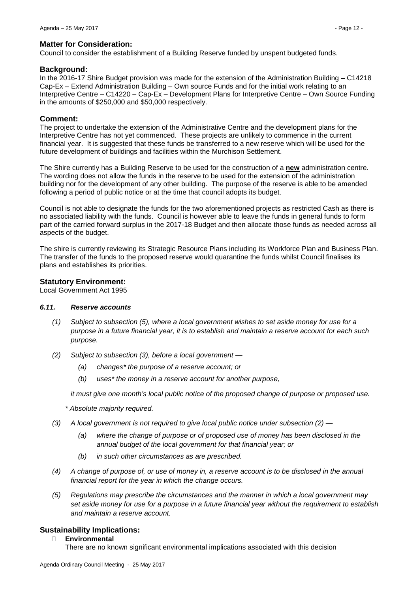Council to consider the establishment of a Building Reserve funded by unspent budgeted funds.

#### **Background:**

In the 2016-17 Shire Budget provision was made for the extension of the Administration Building – C14218 Cap-Ex – Extend Administration Building – Own source Funds and for the initial work relating to an Interpretive Centre – C14220 – Cap-Ex – Development Plans for Interpretive Centre – Own Source Funding in the amounts of \$250,000 and \$50,000 respectively.

#### **Comment:**

The project to undertake the extension of the Administrative Centre and the development plans for the Interpretive Centre has not yet commenced. These projects are unlikely to commence in the current financial year. It is suggested that these funds be transferred to a new reserve which will be used for the future development of buildings and facilities within the Murchison Settlement.

The Shire currently has a Building Reserve to be used for the construction of a **new** administration centre. The wording does not allow the funds in the reserve to be used for the extension of the administration building nor for the development of any other building. The purpose of the reserve is able to be amended following a period of public notice or at the time that council adopts its budget.

Council is not able to designate the funds for the two aforementioned projects as restricted Cash as there is no associated liability with the funds. Council is however able to leave the funds in general funds to form part of the carried forward surplus in the 2017-18 Budget and then allocate those funds as needed across all aspects of the budget.

The shire is currently reviewing its Strategic Resource Plans including its Workforce Plan and Business Plan. The transfer of the funds to the proposed reserve would quarantine the funds whilst Council finalises its plans and establishes its priorities.

#### **Statutory Environment:**

Local Government Act 1995

#### *6.11. Reserve accounts*

- *(1) Subject to subsection (5), where a local government wishes to set aside money for use for a purpose in a future financial year, it is to establish and maintain a reserve account for each such purpose.*
- *(2) Subject to subsection (3), before a local government —*
	- *(a) changes\* the purpose of a reserve account; or*
	- *(b) uses\* the money in a reserve account for another purpose,*

*it must give one month's local public notice of the proposed change of purpose or proposed use.*

*\* Absolute majority required.*

- *(3) A local government is not required to give local public notice under subsection (2) —*
	- *(a) where the change of purpose or of proposed use of money has been disclosed in the annual budget of the local government for that financial year; or*
	- *(b) in such other circumstances as are prescribed.*
- *(4) A change of purpose of, or use of money in, a reserve account is to be disclosed in the annual financial report for the year in which the change occurs.*
- *(5) Regulations may prescribe the circumstances and the manner in which a local government may set aside money for use for a purpose in a future financial year without the requirement to establish and maintain a reserve account.*

### **Sustainability Implications:**

� **Environmental**

There are no known significant environmental implications associated with this decision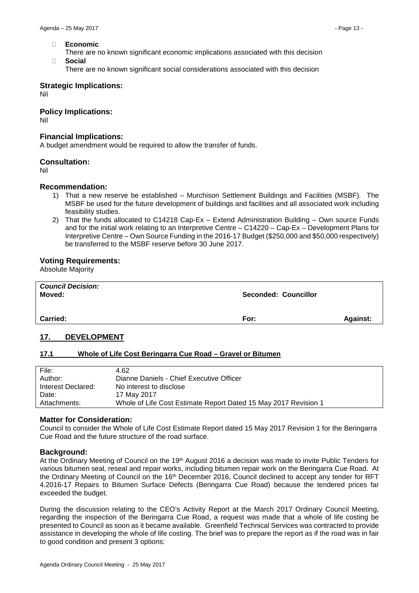- � **Economic**
	- There are no known significant economic implications associated with this decision
- � **Social**
	- There are no known significant social considerations associated with this decision

#### **Strategic Implications:**

Nil

#### **Policy Implications:**

Nil

#### **Financial Implications:**

A budget amendment would be required to allow the transfer of funds.

#### **Consultation:**

Nil

#### **Recommendation:**

- 1) That a new reserve be established Murchison Settlement Buildings and Facilities (MSBF). The MSBF be used for the future development of buildings and facilities and all associated work including feasibility studies.
- 2) That the funds allocated to C14218 Cap-Ex Extend Administration Building Own source Funds and for the initial work relating to an Interpretive Centre – C14220 – Cap-Ex – Development Plans for Interpretive Centre – Own Source Funding in the 2016-17 Budget (\$250,000 and \$50,000 respectively) be transferred to the MSBF reserve before 30 June 2017.

#### **Voting Requirements:**

Absolute Majority

| <b>Council Decision:</b><br>Moved: | <b>Seconded: Councillor</b> |                 |
|------------------------------------|-----------------------------|-----------------|
| <b>Carried:</b>                    | For:                        | <b>Against:</b> |

#### <span id="page-12-0"></span>**17. DEVELOPMENT**

#### <span id="page-12-1"></span>**17.1 Whole of Life Cost Beringarra Cue Road – Gravel or Bitumen**

| File:              | 4.62                                                            |
|--------------------|-----------------------------------------------------------------|
| Author:            | Dianne Daniels - Chief Executive Officer                        |
| Interest Declared: | No interest to disclose                                         |
| Date:              | 17 May 2017                                                     |
| Attachments:       | Whole of Life Cost Estimate Report Dated 15 May 2017 Revision 1 |
|                    |                                                                 |

#### **Matter for Consideration:**

Council to consider the Whole of Life Cost Estimate Report dated 15 May 2017 Revision 1 for the Beringarra Cue Road and the future structure of the road surface.

#### **Background:**

At the Ordinary Meeting of Council on the 19th August 2016 a decision was made to invite Public Tenders for various bitumen seal, reseal and repair works, including bitumen repair work on the Beringarra Cue Road. At the Ordinary Meeting of Council on the 16th December 2016, Council declined to accept any tender for RFT 4.2016-17 Repairs to Bitumen Surface Defects (Beringarra Cue Road) because the tendered prices far exceeded the budget.

During the discussion relating to the CEO's Activity Report at the March 2017 Ordinary Council Meeting, regarding the inspection of the Beringarra Cue Road, a request was made that a whole of life costing be presented to Council as soon as it became available. Greenfield Technical Services was contracted to provide assistance in developing the whole of life costing. The brief was to prepare the report as if the road was in fair to good condition and present 3 options: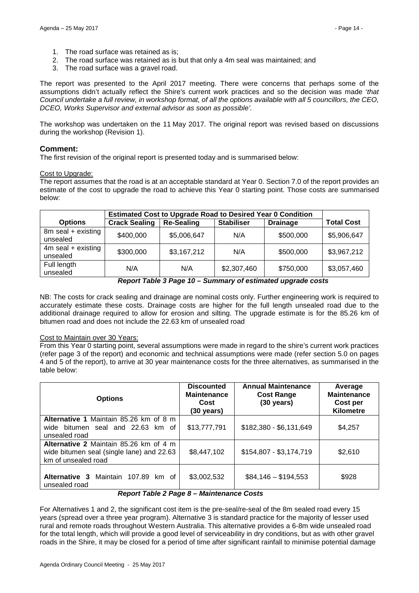- 1. The road surface was retained as is;
- 2. The road surface was retained as is but that only a 4m seal was maintained; and
- 3. The road surface was a gravel road.

The report was presented to the April 2017 meeting. There were concerns that perhaps some of the assumptions didn't actually reflect the Shire's current work practices and so the decision was made '*that Council undertake a full review, in workshop format, of all the options available with all 5 councillors, the CEO, DCEO, Works Supervisor and external advisor as soon as possible'.*

The workshop was undertaken on the 11 May 2017. The original report was revised based on discussions during the workshop (Revision 1).

#### **Comment:**

The first revision of the original report is presented today and is summarised below:

#### Cost to Upgrade:

The report assumes that the road is at an acceptable standard at Year 0. Section 7.0 of the report provides an estimate of the cost to upgrade the road to achieve this Year 0 starting point. Those costs are summarised below:

|                                  | <b>Estimated Cost to Upgrade Road to Desired Year 0 Condition</b> |                   |                   |                 |                   |
|----------------------------------|-------------------------------------------------------------------|-------------------|-------------------|-----------------|-------------------|
| <b>Options</b>                   | <b>Crack Sealing</b>                                              | <b>Re-Sealing</b> | <b>Stabiliser</b> | <b>Drainage</b> | <b>Total Cost</b> |
| 8m seal + existing<br>unsealed   | \$400,000                                                         | \$5,006,647       | N/A               | \$500,000       | \$5,906,647       |
| $4m$ seal + existing<br>unsealed | \$300,000                                                         | \$3,167,212       | N/A               | \$500,000       | \$3,967,212       |
| Full length<br>unsealed          | N/A                                                               | N/A               | \$2,307,460       | \$750,000       | \$3,057,460       |

#### *Report Table 3 Page 10 – Summary of estimated upgrade costs*

NB: The costs for crack sealing and drainage are nominal costs only. Further engineering work is required to accurately estimate these costs. Drainage costs are higher for the full length unsealed road due to the additional drainage required to allow for erosion and silting. The upgrade estimate is for the 85.26 km of bitumen road and does not include the 22.63 km of unsealed road

#### Cost to Maintain over 30 Years:

From this Year 0 starting point, several assumptions were made in regard to the shire's current work practices (refer page 3 of the report) and economic and technical assumptions were made (refer section 5.0 on pages 4 and 5 of the report), to arrive at 30 year maintenance costs for the three alternatives, as summarised in the table below:

| <b>Options</b>                                                                                             | <b>Discounted</b><br><b>Maintenance</b><br>Cost<br>$(30 \text{ years})$ | <b>Annual Maintenance</b><br><b>Cost Range</b><br>$(30 \text{ years})$ | Average<br><b>Maintenance</b><br>Cost per<br><b>Kilometre</b> |
|------------------------------------------------------------------------------------------------------------|-------------------------------------------------------------------------|------------------------------------------------------------------------|---------------------------------------------------------------|
| Alternative 1 Maintain 85.26 km of 8 m<br>wide bitumen seal and 22.63 km of<br>unsealed road               | \$13,777,791                                                            | \$182,380 - \$6,131,649                                                | \$4,257                                                       |
| Alternative 2 Maintain 85.26 km of 4 m<br>wide bitumen seal (single lane) and 22.63<br>km of unsealed road | \$8,447,102                                                             | \$154,807 - \$3,174,719                                                | \$2,610                                                       |
| Alternative 3<br>Maintain 107.89 km of<br>unsealed road<br>- - - - - - -                                   | \$3,002,532<br>$\blacksquare$                                           | $$84,146 - $194,553$                                                   | \$928                                                         |

#### *Report Table 2 Page 8 – Maintenance Costs*

For Alternatives 1 and 2, the significant cost item is the pre-seal/re-seal of the 8m sealed road every 15 years (spread over a three year program). Alternative 3 is standard practice for the majority of lesser used rural and remote roads throughout Western Australia. This alternative provides a 6-8m wide unsealed road for the total length, which will provide a good level of serviceability in dry conditions, but as with other gravel roads in the Shire, it may be closed for a period of time after significant rainfall to minimise potential damage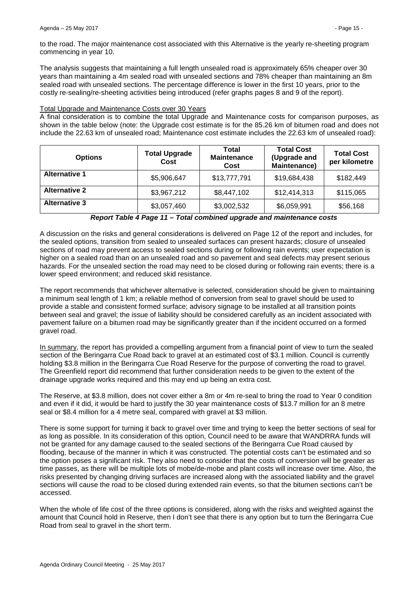The analysis suggests that maintaining a full length unsealed road is approximately 65% cheaper over 30 years than maintaining a 4m sealed road with unsealed sections and 78% cheaper than maintaining an 8m sealed road with unsealed sections. The percentage difference is lower in the first 10 years, prior to the costly re-sealing/re-sheeting activities being introduced (refer graphs pages 8 and 9 of the report).

#### Total Upgrade and Maintenance Costs over 30 Years

A final consideration is to combine the total Upgrade and Maintenance costs for comparison purposes, as shown in the table below (note: the Upgrade cost estimate is for the 85.26 km of bitumen road and does not include the 22.63 km of unsealed road; Maintenance cost estimate includes the 22.63 km of unsealed road):

| <b>Options</b>       | <b>Total Upgrade</b><br>Cost | Total<br><b>Maintenance</b><br>Cost | <b>Total Cost</b><br>(Upgrade and<br><b>Maintenance)</b> | <b>Total Cost</b><br>per kilometre |
|----------------------|------------------------------|-------------------------------------|----------------------------------------------------------|------------------------------------|
| <b>Alternative 1</b> | \$5,906,647                  | \$13,777,791                        | \$19,684,438                                             | \$182,449                          |
| <b>Alternative 2</b> | \$3,967,212                  | \$8,447,102                         | \$12,414,313                                             | \$115,065                          |
| <b>Alternative 3</b> | \$3,057,460                  | \$3,002,532                         | \$6,059,991                                              | \$56,168                           |

A discussion on the risks and general considerations is delivered on Page 12 of the report and includes, for the sealed options, transition from sealed to unsealed surfaces can present hazards; closure of unsealed sections of road may prevent access to sealed sections during or following rain events; user expectation is higher on a sealed road than on an unsealed road and so pavement and seal defects may present serious hazards. For the unsealed section the road may need to be closed during or following rain events; there is a lower speed environment; and reduced skid resistance.

The report recommends that whichever alternative is selected, consideration should be given to maintaining a minimum seal length of 1 km; a reliable method of conversion from seal to gravel should be used to provide a stable and consistent formed surface; advisory signage to be installed at all transition points between seal and gravel; the issue of liability should be considered carefully as an incident associated with pavement failure on a bitumen road may be significantly greater than if the incident occurred on a formed gravel road.

In summary, the report has provided a compelling argument from a financial point of view to turn the sealed section of the Beringarra Cue Road back to gravel at an estimated cost of \$3.1 million. Council is currently holding \$3.8 million in the Beringarra Cue Road Reserve for the purpose of converting the road to gravel. The Greenfield report did recommend that further consideration needs to be given to the extent of the drainage upgrade works required and this may end up being an extra cost.

The Reserve, at \$3.8 million, does not cover either a 8m or 4m re-seal to bring the road to Year 0 condition and even if it did, it would be hard to justify the 30 year maintenance costs of \$13.7 million for an 8 metre seal or \$8.4 million for a 4 metre seal, compared with gravel at \$3 million.

There is some support for turning it back to gravel over time and trying to keep the better sections of seal for as long as possible. In its consideration of this option, Council need to be aware that WANDRRA funds will not be granted for any damage caused to the sealed sections of the Beringarra Cue Road caused by flooding, because of the manner in which it was constructed. The potential costs can't be estimated and so the option poses a significant risk. They also need to consider that the costs of conversion will be greater as time passes, as there will be multiple lots of mobe/de-mobe and plant costs will increase over time. Also, the risks presented by changing driving surfaces are increased along with the associated liability and the gravel sections will cause the road to be closed during extended rain events, so that the bitumen sections can't be accessed.

When the whole of life cost of the three options is considered, along with the risks and weighted against the amount that Council hold in Reserve, then I don't see that there is any option but to turn the Beringarra Cue Road from seal to gravel in the short term.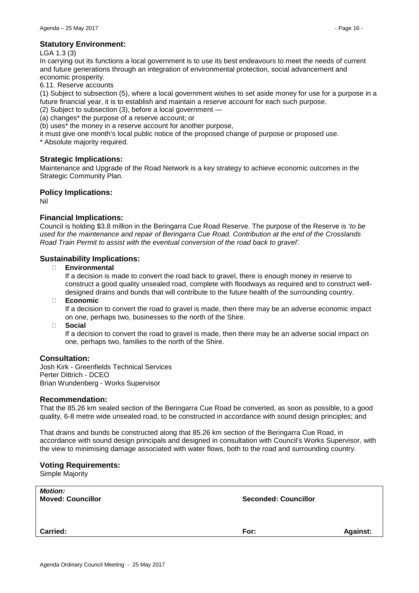#### **Statutory Environment:**

#### LGA 1.3 (3)

In carrying out its functions a local government is to use its best endeavours to meet the needs of current and future generations through an integration of environmental protection, social advancement and economic prosperity.

6.11. Reserve accounts

(1) Subject to subsection (5), where a local government wishes to set aside money for use for a purpose in a future financial year, it is to establish and maintain a reserve account for each such purpose.

(2) Subject to subsection (3), before a local government —

(a) changes\* the purpose of a reserve account; or

(b) uses\* the money in a reserve account for another purpose,

it must give one month's local public notice of the proposed change of purpose or proposed use.

\* Absolute majority required.

#### **Strategic Implications:**

Maintenance and Upgrade of the Road Network is a key strategy to achieve economic outcomes in the Strategic Community Plan.

#### **Policy Implications:**

Nil

#### **Financial Implications:**

Council is holding \$3.8 million in the Beringarra Cue Road Reserve. The purpose of the Reserve is '*to be used for the maintenance and repair of Beringarra Cue Road. Contribution at the end of the Crosslands Road Train Permit to assist with the eventual conversion of the road back to gravel'.*

#### **Sustainability Implications:**

� **Environmental** 

If a decision is made to convert the road back to gravel, there is enough money in reserve to construct a good quality unsealed road, complete with floodways as required and to construct welldesigned drains and bunds that will contribute to the future health of the surrounding country.

� **Economic**

If a decision to convert the road to gravel is made, then there may be an adverse economic impact on one, perhaps two, businesses to the north of the Shire.

� **Social**

If a decision to convert the road to gravel is made, then there may be an adverse social impact on one, perhaps two, families to the north of the Shire.

#### **Consultation:**

Josh Kirk - Greenfields Technical Services Perter Dittrich - DCEO Brian Wundenberg - Works Supervisor

#### **Recommendation:**

That the 85.26 km sealed section of the Beringarra Cue Road be converted, as soon as possible, to a good quality, 6-8 metre wide unsealed road, to be constructed in accordance with sound design principles; and

That drains and bunds be constructed along that 85.26 km section of the Beringarra Cue Road, in accordance with sound design principals and designed in consultation with Council's Works Supervisor, with the view to minimising damage associated with water flows, both to the road and surrounding country.

#### **Voting Requirements:**

Simple Majority

| <b>Motion:</b><br><b>Moved: Councillor</b> | <b>Seconded: Councillor</b> |                 |
|--------------------------------------------|-----------------------------|-----------------|
| <b>Carried:</b>                            | For:                        | <b>Against:</b> |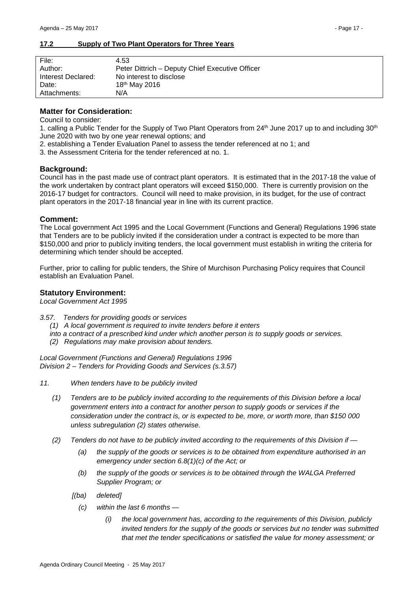#### <span id="page-16-0"></span>**17.2 Supply of Two Plant Operators for Three Years**

| File:              | 4.53                                            |
|--------------------|-------------------------------------------------|
| Author:            | Peter Dittrich - Deputy Chief Executive Officer |
| Interest Declared: | No interest to disclose                         |
| Date:              | 18 <sup>th</sup> May 2016                       |
| Attachments:       | N/A                                             |

#### **Matter for Consideration:**

Council to consider:

1. calling a Public Tender for the Supply of Two Plant Operators from 24<sup>th</sup> June 2017 up to and including 30<sup>th</sup> June 2020 with two by one year renewal options; and

2. establishing a Tender Evaluation Panel to assess the tender referenced at no 1; and

3. the Assessment Criteria for the tender referenced at no. 1.

#### **Background:**

Council has in the past made use of contract plant operators. It is estimated that in the 2017-18 the value of the work undertaken by contract plant operators will exceed \$150,000. There is currently provision on the 2016-17 budget for contractors. Council will need to make provision, in its budget, for the use of contract plant operators in the 2017-18 financial year in line with its current practice.

#### **Comment:**

The Local government Act 1995 and the Local Government (Functions and General) Regulations 1996 state that Tenders are to be publicly invited if the consideration under a contract is expected to be more than \$150,000 and prior to publicly inviting tenders, the local government must establish in writing the criteria for determining which tender should be accepted.

Further, prior to calling for public tenders, the Shire of Murchison Purchasing Policy requires that Council establish an Evaluation Panel.

#### **Statutory Environment:**

*Local Government Act 1995*

- *3.57. Tenders for providing goods or services* 
	- *(1) A local government is required to invite tenders before it enters*
	- *into a contract of a prescribed kind under which another person is to supply goods or services.*
	- *(2) Regulations may make provision about tenders.*

*Local Government (Functions and General) Regulations 1996 Division 2 – Tenders for Providing Goods and Services (s.3.57)*

- *11. When tenders have to be publicly invited*
	- *(1) Tenders are to be publicly invited according to the requirements of this Division before a local government enters into a contract for another person to supply goods or services if the consideration under the contract is, or is expected to be, more, or worth more, than \$150 000 unless subregulation (2) states otherwise.*
	- *(2) Tenders do not have to be publicly invited according to the requirements of this Division if —*
		- *(a) the supply of the goods or services is to be obtained from expenditure authorised in an emergency under section 6.8(1)(c) of the Act; or*
		- *(b) the supply of the goods or services is to be obtained through the WALGA Preferred Supplier Program; or*
		- *[(ba) deleted]*
			- *(c) within the last 6 months —*
				- *(i) the local government has, according to the requirements of this Division, publicly invited tenders for the supply of the goods or services but no tender was submitted that met the tender specifications or satisfied the value for money assessment; or*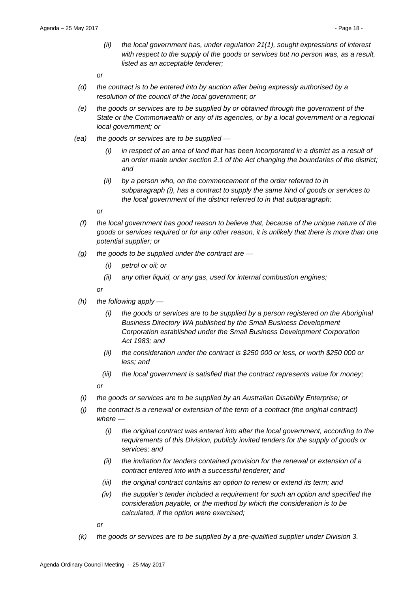*(ii) the local government has, under regulation 21(1), sought expressions of interest with respect to the supply of the goods or services but no person was, as a result, listed as an acceptable tenderer;*

*or*

- *(d) the contract is to be entered into by auction after being expressly authorised by a resolution of the council of the local government; or*
- *(e) the goods or services are to be supplied by or obtained through the government of the State or the Commonwealth or any of its agencies, or by a local government or a regional local government; or*
- *(ea) the goods or services are to be supplied —*
	- *(i) in respect of an area of land that has been incorporated in a district as a result of an order made under section 2.1 of the Act changing the boundaries of the district; and*
	- *(ii) by a person who, on the commencement of the order referred to in subparagraph (i), has a contract to supply the same kind of goods or services to the local government of the district referred to in that subparagraph;*

*or*

- *(f) the local government has good reason to believe that, because of the unique nature of the goods or services required or for any other reason, it is unlikely that there is more than one potential supplier; or*
- *(g) the goods to be supplied under the contract are —*
	- *(i) petrol or oil; or*
	- *(ii) any other liquid, or any gas, used for internal combustion engines;*

*or*

- *(h) the following apply —*
	- *(i) the goods or services are to be supplied by a person registered on the Aboriginal Business Directory WA published by the Small Business Development Corporation established under the Small Business Development Corporation Act 1983; and*
	- *(ii) the consideration under the contract is \$250 000 or less, or worth \$250 000 or less; and*
	- *(iii) the local government is satisfied that the contract represents value for money;*

*or*

- *(i) the goods or services are to be supplied by an Australian Disability Enterprise; or*
- *(j) the contract is a renewal or extension of the term of a contract (the original contract) where —*
	- *(i) the original contract was entered into after the local government, according to the requirements of this Division, publicly invited tenders for the supply of goods or services; and*
	- *(ii) the invitation for tenders contained provision for the renewal or extension of a contract entered into with a successful tenderer; and*
	- *(iii) the original contract contains an option to renew or extend its term; and*
	- *(iv) the supplier's tender included a requirement for such an option and specified the consideration payable, or the method by which the consideration is to be calculated, if the option were exercised;*

*or*

*(k) the goods or services are to be supplied by a pre-qualified supplier under Division 3.*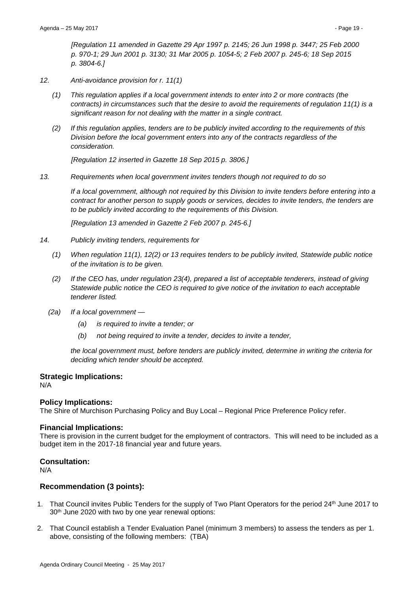*[Regulation 11 amended in Gazette 29 Apr 1997 p. 2145; 26 Jun 1998 p. 3447; 25 Feb 2000 p. 970-1; 29 Jun 2001 p. 3130; 31 Mar 2005 p. 1054-5; 2 Feb 2007 p. 245-6; 18 Sep 2015 p. 3804-6.]*

- *12. Anti-avoidance provision for r. 11(1)*
	- *(1) This regulation applies if a local government intends to enter into 2 or more contracts (the contracts) in circumstances such that the desire to avoid the requirements of regulation 11(1) is a significant reason for not dealing with the matter in a single contract.*
	- *(2) If this regulation applies, tenders are to be publicly invited according to the requirements of this Division before the local government enters into any of the contracts regardless of the consideration.*

*[Regulation 12 inserted in Gazette 18 Sep 2015 p. 3806.]* 

*13. Requirements when local government invites tenders though not required to do so*

*If a local government, although not required by this Division to invite tenders before entering into a contract for another person to supply goods or services, decides to invite tenders, the tenders are to be publicly invited according to the requirements of this Division.*

*[Regulation 13 amended in Gazette 2 Feb 2007 p. 245-6.]*

- *14. Publicly inviting tenders, requirements for*
	- *(1) When regulation 11(1), 12(2) or 13 requires tenders to be publicly invited, Statewide public notice of the invitation is to be given.*
	- *(2) If the CEO has, under regulation 23(4), prepared a list of acceptable tenderers, instead of giving Statewide public notice the CEO is required to give notice of the invitation to each acceptable tenderer listed.*
	- *(2a) If a local government —*
		- *(a) is required to invite a tender; or*
		- *(b) not being required to invite a tender, decides to invite a tender,*

*the local government must, before tenders are publicly invited, determine in writing the criteria for deciding which tender should be accepted.*

#### **Strategic Implications:**

N/A

#### **Policy Implications:**

The Shire of Murchison Purchasing Policy and Buy Local – Regional Price Preference Policy refer.

#### **Financial Implications:**

There is provision in the current budget for the employment of contractors. This will need to be included as a budget item in the 2017-18 financial year and future years.

#### **Consultation:**

N/A

#### **Recommendation (3 points):**

- 1. That Council invites Public Tenders for the supply of Two Plant Operators for the period 24<sup>th</sup> June 2017 to 30<sup>th</sup> June 2020 with two by one year renewal options:
- 2. That Council establish a Tender Evaluation Panel (minimum 3 members) to assess the tenders as per 1. above, consisting of the following members: (TBA)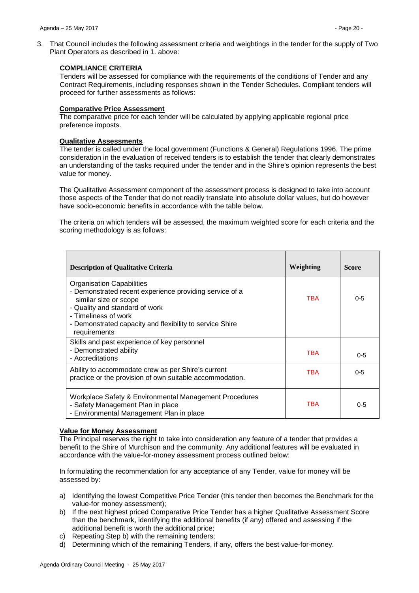#### **COMPLIANCE CRITERIA**

Tenders will be assessed for compliance with the requirements of the conditions of Tender and any Contract Requirements, including responses shown in the Tender Schedules. Compliant tenders will proceed for further assessments as follows:

#### **Comparative Price Assessment**

The comparative price for each tender will be calculated by applying applicable regional price preference imposts.

#### **Qualitative Assessments**

The tender is called under the local government (Functions & General) Regulations 1996. The prime consideration in the evaluation of received tenders is to establish the tender that clearly demonstrates an understanding of the tasks required under the tender and in the Shire's opinion represents the best value for money.

The Qualitative Assessment component of the assessment process is designed to take into account those aspects of the Tender that do not readily translate into absolute dollar values, but do however have socio-economic benefits in accordance with the table below.

The criteria on which tenders will be assessed, the maximum weighted score for each criteria and the scoring methodology is as follows:

| <b>Description of Qualitative Criteria</b>                                                                                                                                                                                                                 | Weighting  | <b>Score</b> |
|------------------------------------------------------------------------------------------------------------------------------------------------------------------------------------------------------------------------------------------------------------|------------|--------------|
| <b>Organisation Capabilities</b><br>- Demonstrated recent experience providing service of a<br>similar size or scope<br>- Quality and standard of work<br>- Timeliness of work<br>- Demonstrated capacity and flexibility to service Shire<br>requirements | <b>TBA</b> | $0 - 5$      |
| Skills and past experience of key personnel<br>- Demonstrated ability<br>- Accreditations                                                                                                                                                                  | <b>TBA</b> | $0 - 5$      |
| Ability to accommodate crew as per Shire's current<br>practice or the provision of own suitable accommodation.                                                                                                                                             | <b>TBA</b> | $0 - 5$      |
| Workplace Safety & Environmental Management Procedures<br>- Safety Management Plan in place<br>- Environmental Management Plan in place                                                                                                                    | <b>TBA</b> | $0 - 5$      |

# **Value for Money Assessment**

The Principal reserves the right to take into consideration any feature of a tender that provides a benefit to the Shire of Murchison and the community. Any additional features will be evaluated in accordance with the value-for-money assessment process outlined below:

In formulating the recommendation for any acceptance of any Tender, value for money will be assessed by:

- a) Identifying the lowest Competitive Price Tender (this tender then becomes the Benchmark for the value-for money assessment);
- b) If the next highest priced Comparative Price Tender has a higher Qualitative Assessment Score than the benchmark, identifying the additional benefits (if any) offered and assessing if the additional benefit is worth the additional price;
- c) Repeating Step b) with the remaining tenders;
- d) Determining which of the remaining Tenders, if any, offers the best value-for-money.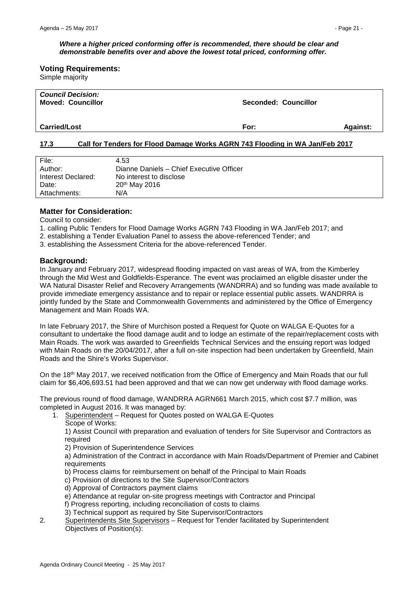#### *Where a higher priced conforming offer is recommended, there should be clear and demonstrable benefits over and above the lowest total priced, conforming offer.*

**Voting Requirements:**

Simple majority

| <b>Council Decision:</b><br><b>Moved: Councillor</b> | Seconded: Councillor |                 |
|------------------------------------------------------|----------------------|-----------------|
| <b>Carried/Lost</b>                                  | For:                 | <b>Against:</b> |

#### <span id="page-20-0"></span>**17.3 Call for Tenders for Flood Damage Works AGRN 743 Flooding in WA Jan/Feb 2017**

| File:              | 4.53                                     |
|--------------------|------------------------------------------|
| Author:            | Dianne Daniels - Chief Executive Officer |
| Interest Declared: | No interest to disclose                  |
| Date:              | 20 <sup>th</sup> May 2016                |
| Attachments:       | N/A                                      |

#### **Matter for Consideration:**

Council to consider:

- 1. calling Public Tenders for Flood Damage Works AGRN 743 Flooding in WA Jan/Feb 2017; and
- 2. establishing a Tender Evaluation Panel to assess the above-referenced Tender; and
- 3. establishing the Assessment Criteria for the above-referenced Tender.

#### **Background:**

In January and February 2017, widespread flooding impacted on vast areas of WA, from the Kimberley through the Mid West and Goldfields-Esperance. The event was proclaimed an eligible disaster under the WA Natural Disaster Relief and Recovery Arrangements (WANDRRA) and so funding was made available to provide immediate emergency assistance and to repair or replace essential public assets. WANDRRA is jointly funded by the State and Commonwealth Governments and administered by the Office of Emergency Management and Main Roads WA.

In late February 2017, the Shire of Murchison posted a Request for Quote on WALGA E-Quotes for a consultant to undertake the flood damage audit and to lodge an estimate of the repair/replacement costs with Main Roads. The work was awarded to Greenfields Technical Services and the ensuing report was lodged with Main Roads on the 20/04/2017, after a full on-site inspection had been undertaken by Greenfield, Main Roads and the Shire's Works Supervisor.

On the 18<sup>th</sup> May 2017, we received notification from the Office of Emergency and Main Roads that our full claim for \$6,406,693.51 had been approved and that we can now get underway with flood damage works.

The previous round of flood damage, WANDRRA AGRN661 March 2015, which cost \$7.7 million, was completed in August 2016. It was managed by:

1. Superintendent – Request for Quotes posted on WALGA E-Quotes Scope of Works:

1) Assist Council with preparation and evaluation of tenders for Site Supervisor and Contractors as required

2) Provision of Superintendence Services

a) Administration of the Contract in accordance with Main Roads/Department of Premier and Cabinet requirements

- b) Process claims for reimbursement on behalf of the Principal to Main Roads
- c) Provision of directions to the Site Supervisor/Contractors
- d) Approval of Contractors payment claims
- e) Attendance at regular on-site progress meetings with Contractor and Principal
- f) Progress reporting, including reconciliation of costs to claims
- 3) Technical support as required by Site Supervisor/Contractors
- 2. Superintendents Site Supervisors Request for Tender facilitated by Superintendent Objectives of Position(s):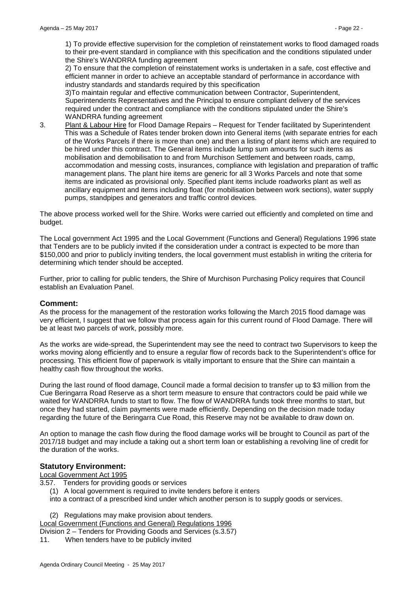1) To provide effective supervision for the completion of reinstatement works to flood damaged roads to their pre-event standard in compliance with this specification and the conditions stipulated under the Shire's WANDRRA funding agreement

2) To ensure that the completion of reinstatement works is undertaken in a safe, cost effective and efficient manner in order to achieve an acceptable standard of performance in accordance with industry standards and standards required by this specification

3)To maintain regular and effective communication between Contractor, Superintendent, Superintendents Representatives and the Principal to ensure compliant delivery of the services required under the contract and compliance with the conditions stipulated under the Shire's WANDRRA funding agreement

3. Plant & Labour Hire for Flood Damage Repairs – Request for Tender facilitated by Superintendent This was a Schedule of Rates tender broken down into General items (with separate entries for each of the Works Parcels if there is more than one) and then a listing of plant items which are required to be hired under this contract. The General items include lump sum amounts for such items as mobilisation and demobilisation to and from Murchison Settlement and between roads, camp, accommodation and messing costs, insurances, compliance with legislation and preparation of traffic management plans. The plant hire items are generic for all 3 Works Parcels and note that some items are indicated as provisional only. Specified plant items include roadworks plant as well as ancillary equipment and items including float (for mobilisation between work sections), water supply pumps, standpipes and generators and traffic control devices.

The above process worked well for the Shire. Works were carried out efficiently and completed on time and budget.

The Local government Act 1995 and the Local Government (Functions and General) Regulations 1996 state that Tenders are to be publicly invited if the consideration under a contract is expected to be more than \$150,000 and prior to publicly inviting tenders, the local government must establish in writing the criteria for determining which tender should be accepted.

Further, prior to calling for public tenders, the Shire of Murchison Purchasing Policy requires that Council establish an Evaluation Panel.

#### **Comment:**

As the process for the management of the restoration works following the March 2015 flood damage was very efficient, I suggest that we follow that process again for this current round of Flood Damage. There will be at least two parcels of work, possibly more.

As the works are wide-spread, the Superintendent may see the need to contract two Supervisors to keep the works moving along efficiently and to ensure a regular flow of records back to the Superintendent's office for processing. This efficient flow of paperwork is vitally important to ensure that the Shire can maintain a healthy cash flow throughout the works.

During the last round of flood damage, Council made a formal decision to transfer up to \$3 million from the Cue Beringarra Road Reserve as a short term measure to ensure that contractors could be paid while we waited for WANDRRA funds to start to flow. The flow of WANDRRA funds took three months to start, but once they had started, claim payments were made efficiently. Depending on the decision made today regarding the future of the Beringarra Cue Road, this Reserve may not be available to draw down on.

An option to manage the cash flow during the flood damage works will be brought to Council as part of the 2017/18 budget and may include a taking out a short term loan or establishing a revolving line of credit for the duration of the works.

#### **Statutory Environment:**

Local Government Act 1995

- 3.57. Tenders for providing goods or services
	- (1) A local government is required to invite tenders before it enters

into a contract of a prescribed kind under which another person is to supply goods or services.

(2) Regulations may make provision about tenders.

Local Government (Functions and General) Regulations 1996

- Division 2 Tenders for Providing Goods and Services (s.3.57)
- 11. When tenders have to be publicly invited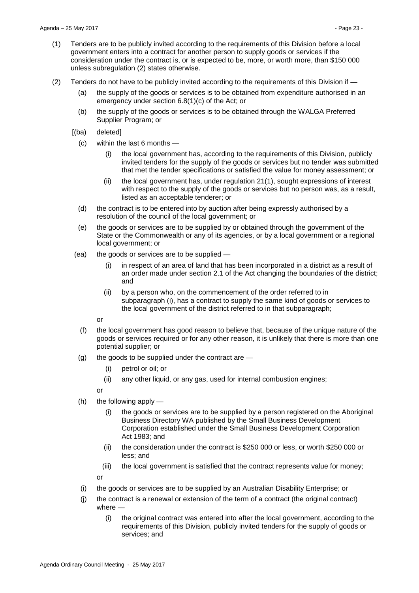- (1) Tenders are to be publicly invited according to the requirements of this Division before a local government enters into a contract for another person to supply goods or services if the consideration under the contract is, or is expected to be, more, or worth more, than \$150 000 unless subregulation (2) states otherwise.
- (2) Tenders do not have to be publicly invited according to the requirements of this Division if  $-$ 
	- (a) the supply of the goods or services is to be obtained from expenditure authorised in an emergency under section 6.8(1)(c) of the Act; or
	- (b) the supply of the goods or services is to be obtained through the WALGA Preferred Supplier Program; or
	- [(ba) deleted]
		- (c) within the last 6 months
			- (i) the local government has, according to the requirements of this Division, publicly invited tenders for the supply of the goods or services but no tender was submitted that met the tender specifications or satisfied the value for money assessment; or
			- (ii) the local government has, under regulation 21(1), sought expressions of interest with respect to the supply of the goods or services but no person was, as a result, listed as an acceptable tenderer; or
		- (d) the contract is to be entered into by auction after being expressly authorised by a resolution of the council of the local government; or
		- (e) the goods or services are to be supplied by or obtained through the government of the State or the Commonwealth or any of its agencies, or by a local government or a regional local government; or
	- (ea) the goods or services are to be supplied
		- (i) in respect of an area of land that has been incorporated in a district as a result of an order made under section 2.1 of the Act changing the boundaries of the district; and
		- (ii) by a person who, on the commencement of the order referred to in subparagraph (i), has a contract to supply the same kind of goods or services to the local government of the district referred to in that subparagraph;

or

- (f) the local government has good reason to believe that, because of the unique nature of the goods or services required or for any other reason, it is unlikely that there is more than one potential supplier; or
- (g) the goods to be supplied under the contract are
	- (i) petrol or oil; or
	- (ii) any other liquid, or any gas, used for internal combustion engines;

or

- (h) the following apply
	- (i) the goods or services are to be supplied by a person registered on the Aboriginal Business Directory WA published by the Small Business Development Corporation established under the Small Business Development Corporation Act 1983; and
	- (ii) the consideration under the contract is \$250 000 or less, or worth \$250 000 or less; and
	- (iii) the local government is satisfied that the contract represents value for money;

or

- 
- (i) the goods or services are to be supplied by an Australian Disability Enterprise; or
- (j) the contract is a renewal or extension of the term of a contract (the original contract) where —
	- (i) the original contract was entered into after the local government, according to the requirements of this Division, publicly invited tenders for the supply of goods or services; and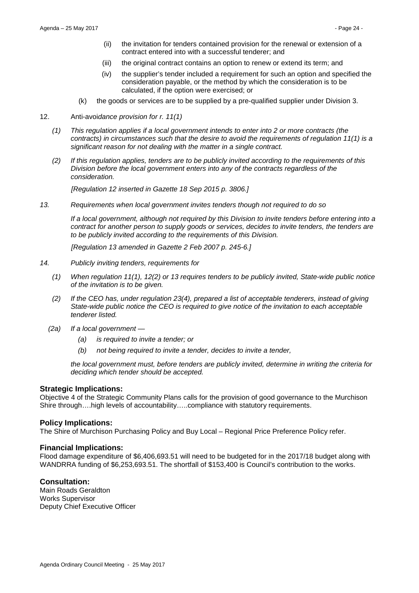- (ii) the invitation for tenders contained provision for the renewal or extension of a contract entered into with a successful tenderer; and
- (iii) the original contract contains an option to renew or extend its term; and
- (iv) the supplier's tender included a requirement for such an option and specified the consideration payable, or the method by which the consideration is to be calculated, if the option were exercised; or
- (k) the goods or services are to be supplied by a pre-qualified supplier under Division 3.
- 12. Anti-avoi*dance provision for r. 11(1)*
	- *(1) This regulation applies if a local government intends to enter into 2 or more contracts (the contracts) in circumstances such that the desire to avoid the requirements of regulation 11(1) is a significant reason for not dealing with the matter in a single contract.*
	- *(2) If this regulation applies, tenders are to be publicly invited according to the requirements of this Division before the local government enters into any of the contracts regardless of the consideration.*

*[Regulation 12 inserted in Gazette 18 Sep 2015 p. 3806.]* 

*13. Requirements when local government invites tenders though not required to do so*

*If a local government, although not required by this Division to invite tenders before entering into a contract for another person to supply goods or services, decides to invite tenders, the tenders are to be publicly invited according to the requirements of this Division.*

*[Regulation 13 amended in Gazette 2 Feb 2007 p. 245-6.]*

- *14. Publicly inviting tenders, requirements for*
	- *(1) When regulation 11(1), 12(2) or 13 requires tenders to be publicly invited, State-wide public notice of the invitation is to be given.*
	- *(2) If the CEO has, under regulation 23(4), prepared a list of acceptable tenderers, instead of giving State-wide public notice the CEO is required to give notice of the invitation to each acceptable tenderer listed.*
	- *(2a) If a local government —*
		- *(a) is required to invite a tender; or*
		- *(b) not being required to invite a tender, decides to invite a tender,*

*the local government must, before tenders are publicly invited, determine in writing the criteria for deciding which tender should be accepted.*

#### **Strategic Implications:**

Objective 4 of the Strategic Community Plans calls for the provision of good governance to the Murchison Shire through….high levels of accountability…..compliance with statutory requirements.

#### **Policy Implications:**

The Shire of Murchison Purchasing Policy and Buy Local – Regional Price Preference Policy refer.

#### **Financial Implications:**

Flood damage expenditure of \$6,406,693.51 will need to be budgeted for in the 2017/18 budget along with WANDRRA funding of \$6,253,693.51. The shortfall of \$153,400 is Council's contribution to the works.

#### **Consultation:**

Main Roads Geraldton Works Supervisor Deputy Chief Executive Officer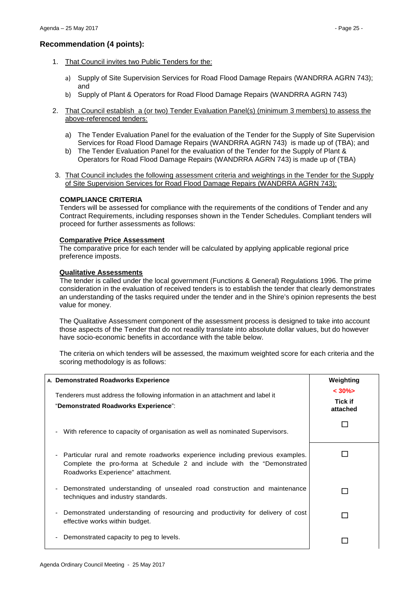### **Recommendation (4 points):**

- 1. That Council invites two Public Tenders for the:
	- a) Supply of Site Supervision Services for Road Flood Damage Repairs (WANDRRA AGRN 743); and
	- b) Supply of Plant & Operators for Road Flood Damage Repairs (WANDRRA AGRN 743)
- 2. That Council establish a (or two) Tender Evaluation Panel(s) (minimum 3 members) to assess the above-referenced tenders:
	- a) The Tender Evaluation Panel for the evaluation of the Tender for the Supply of Site Supervision Services for Road Flood Damage Repairs (WANDRRA AGRN 743) is made up of (TBA); and
	- b) The Tender Evaluation Panel for the evaluation of the Tender for the Supply of Plant & Operators for Road Flood Damage Repairs (WANDRRA AGRN 743) is made up of (TBA)
- 3. That Council includes the following assessment criteria and weightings in the Tender for the Supply of Site Supervision Services for Road Flood Damage Repairs (WANDRRA AGRN 743):

#### **COMPLIANCE CRITERIA**

Tenders will be assessed for compliance with the requirements of the conditions of Tender and any Contract Requirements, including responses shown in the Tender Schedules. Compliant tenders will proceed for further assessments as follows:

#### **Comparative Price Assessment**

The comparative price for each tender will be calculated by applying applicable regional price preference imposts.

#### **Qualitative Assessments**

The tender is called under the local government (Functions & General) Regulations 1996. The prime consideration in the evaluation of received tenders is to establish the tender that clearly demonstrates an understanding of the tasks required under the tender and in the Shire's opinion represents the best value for money.

The Qualitative Assessment component of the assessment process is designed to take into account those aspects of the Tender that do not readily translate into absolute dollar values, but do however have socio-economic benefits in accordance with the table below.

The criteria on which tenders will be assessed, the maximum weighted score for each criteria and the scoring methodology is as follows:

| A. Demonstrated Roadworks Experience                                                                                                                                                             | Weighting                              |
|--------------------------------------------------------------------------------------------------------------------------------------------------------------------------------------------------|----------------------------------------|
| Tenderers must address the following information in an attachment and label it<br>"Demonstrated Roadworks Experience":                                                                           | $< 30\%$<br><b>Tick if</b><br>attached |
| With reference to capacity of organisation as well as nominated Supervisors.<br>$\sim$                                                                                                           |                                        |
| - Particular rural and remote roadworks experience including previous examples.<br>Complete the pro-forma at Schedule 2 and include with the "Demonstrated"<br>Roadworks Experience" attachment. |                                        |
| Demonstrated understanding of unsealed road construction and maintenance<br>techniques and industry standards.                                                                                   |                                        |
| - Demonstrated understanding of resourcing and productivity for delivery of cost<br>effective works within budget.                                                                               |                                        |
| Demonstrated capacity to peg to levels.                                                                                                                                                          |                                        |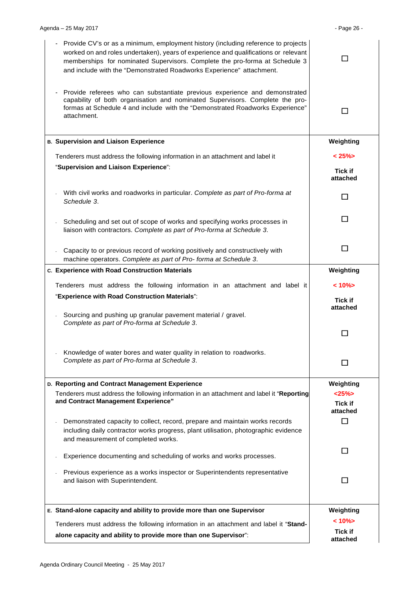| Provide CV's or as a minimum, employment history (including reference to projects<br>worked on and roles undertaken), years of experience and qualifications or relevant<br>memberships for nominated Supervisors. Complete the pro-forma at Schedule 3<br>and include with the "Demonstrated Roadworks Experience" attachment. |                            |
|---------------------------------------------------------------------------------------------------------------------------------------------------------------------------------------------------------------------------------------------------------------------------------------------------------------------------------|----------------------------|
| Provide referees who can substantiate previous experience and demonstrated<br>capability of both organisation and nominated Supervisors. Complete the pro-<br>formas at Schedule 4 and include with the "Demonstrated Roadworks Experience"<br>attachment.                                                                      | П                          |
| <b>B. Supervision and Liaison Experience</b>                                                                                                                                                                                                                                                                                    | Weighting                  |
| Tenderers must address the following information in an attachment and label it                                                                                                                                                                                                                                                  | < 25%>                     |
| "Supervision and Liaison Experience":                                                                                                                                                                                                                                                                                           | <b>Tick if</b><br>attached |
| With civil works and roadworks in particular. Complete as part of Pro-forma at<br>Schedule 3.                                                                                                                                                                                                                                   | П                          |
| Scheduling and set out of scope of works and specifying works processes in<br>liaison with contractors. Complete as part of Pro-forma at Schedule 3.                                                                                                                                                                            | П                          |
| Capacity to or previous record of working positively and constructively with<br>machine operators. Complete as part of Pro-forma at Schedule 3.                                                                                                                                                                                 | П                          |
| c. Experience with Road Construction Materials                                                                                                                                                                                                                                                                                  | Weighting                  |
| Tenderers must address the following information in an attachment and label it                                                                                                                                                                                                                                                  | $< 10\%$                   |
| "Experience with Road Construction Materials":                                                                                                                                                                                                                                                                                  | <b>Tick if</b><br>attached |
| Sourcing and pushing up granular pavement material / gravel.<br>Complete as part of Pro-forma at Schedule 3.                                                                                                                                                                                                                    |                            |
| Knowledge of water bores and water quality in relation to roadworks.<br>Complete as part of Pro-forma at Schedule 3.                                                                                                                                                                                                            |                            |
| D. Reporting and Contract Management Experience                                                                                                                                                                                                                                                                                 | Weighting                  |
| Tenderers must address the following information in an attachment and label it "Reporting<br>and Contract Management Experience"                                                                                                                                                                                                | <25%                       |
|                                                                                                                                                                                                                                                                                                                                 | <b>Tick if</b><br>attached |
| Demonstrated capacity to collect, record, prepare and maintain works records                                                                                                                                                                                                                                                    |                            |
| including daily contractor works progress, plant utilisation, photographic evidence<br>and measurement of completed works.                                                                                                                                                                                                      |                            |
| Experience documenting and scheduling of works and works processes.                                                                                                                                                                                                                                                             | H                          |
| Previous experience as a works inspector or Superintendents representative<br>and liaison with Superintendent.                                                                                                                                                                                                                  | П                          |
| E. Stand-alone capacity and ability to provide more than one Supervisor                                                                                                                                                                                                                                                         | Weighting                  |
| Tenderers must address the following information in an attachment and label it "Stand-                                                                                                                                                                                                                                          | $< 10\%$                   |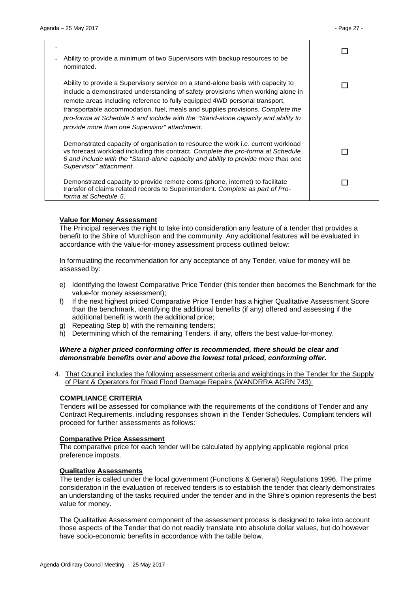-

 $\Box$ 

П

 $\Box$ 

 $\Box$ 

- Ability to provide a minimum of two Supervisors with backup resources to be nominated.
- Ability to provide a Supervisory service on a stand-alone basis with capacity to include a demonstrated understanding of safety provisions when working alone in remote areas including reference to fully equipped 4WD personal transport, transportable accommodation, fuel, meals and supplies provisions. *Complete the pro-forma at Schedule 5 and include with the "Stand-alone capacity and ability to provide more than one Supervisor" attachment*.
- Demonstrated capacity of organisation to resource the work i.e. current workload vs forecast workload including this contract. *Complete the pro-forma at Schedule 6 and include with the "Stand-alone capacity and ability to provide more than one Supervisor" attachment*
- Demonstrated capacity to provide remote coms (phone, internet) to facilitate transfer of claims related records to Superintendent. *Complete as part of Proforma at Schedule 5*.

#### **Value for Money Assessment**

The Principal reserves the right to take into consideration any feature of a tender that provides a benefit to the Shire of Murchison and the community. Any additional features will be evaluated in accordance with the value-for-money assessment process outlined below:

In formulating the recommendation for any acceptance of any Tender, value for money will be assessed by:

- e) Identifying the lowest Comparative Price Tender (this tender then becomes the Benchmark for the value-for money assessment);
- f) If the next highest priced Comparative Price Tender has a higher Qualitative Assessment Score than the benchmark, identifying the additional benefits (if any) offered and assessing if the additional benefit is worth the additional price;
- g) Repeating Step b) with the remaining tenders;
- h) Determining which of the remaining Tenders, if any, offers the best value-for-money.

#### *Where a higher priced conforming offer is recommended, there should be clear and demonstrable benefits over and above the lowest total priced, conforming offer.*

4. That Council includes the following assessment criteria and weightings in the Tender for the Supply of Plant & Operators for Road Flood Damage Repairs (WANDRRA AGRN 743):

#### **COMPLIANCE CRITERIA**

Tenders will be assessed for compliance with the requirements of the conditions of Tender and any Contract Requirements, including responses shown in the Tender Schedules. Compliant tenders will proceed for further assessments as follows:

#### **Comparative Price Assessment**

The comparative price for each tender will be calculated by applying applicable regional price preference imposts.

#### **Qualitative Assessments**

The tender is called under the local government (Functions & General) Regulations 1996. The prime consideration in the evaluation of received tenders is to establish the tender that clearly demonstrates an understanding of the tasks required under the tender and in the Shire's opinion represents the best value for money.

The Qualitative Assessment component of the assessment process is designed to take into account those aspects of the Tender that do not readily translate into absolute dollar values, but do however have socio-economic benefits in accordance with the table below.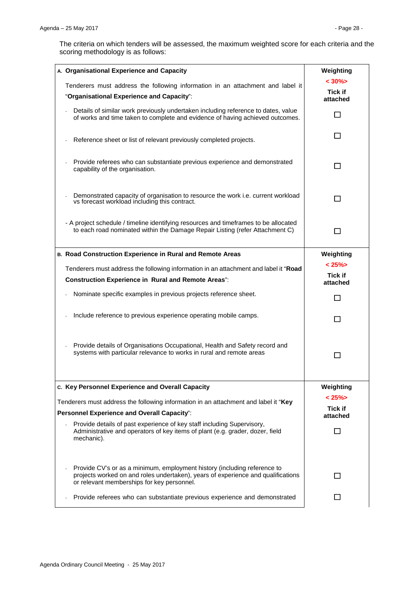The criteria on which tenders will be assessed, the maximum weighted score for each criteria and the scoring methodology is as follows:

| A. Organisational Experience and Capacity                                                                                                                                                                  | Weighting                       |
|------------------------------------------------------------------------------------------------------------------------------------------------------------------------------------------------------------|---------------------------------|
| Tenderers must address the following information in an attachment and label it<br>"Organisational Experience and Capacity":                                                                                | $< 30\%$<br>Tick if<br>attached |
| Details of similar work previously undertaken including reference to dates, value<br>of works and time taken to complete and evidence of having achieved outcomes.                                         | П                               |
| Reference sheet or list of relevant previously completed projects.                                                                                                                                         | П                               |
| Provide referees who can substantiate previous experience and demonstrated<br>capability of the organisation.                                                                                              | $\mathsf{L}$                    |
| Demonstrated capacity of organisation to resource the work i.e. current workload<br>vs forecast workload including this contract.                                                                          | П                               |
| - A project schedule / timeline identifying resources and timeframes to be allocated<br>to each road nominated within the Damage Repair Listing (refer Attachment C)                                       | l 1                             |
| B. Road Construction Experience in Rural and Remote Areas                                                                                                                                                  | Weighting                       |
| Tenderers must address the following information in an attachment and label it "Road<br><b>Construction Experience in Rural and Remote Areas":</b>                                                         | $< 25\%$<br>Tick if<br>attached |
| Nominate specific examples in previous projects reference sheet.                                                                                                                                           |                                 |
| Include reference to previous experience operating mobile camps.                                                                                                                                           | H                               |
| Provide details of Organisations Occupational, Health and Safety record and<br>systems with particular relevance to works in rural and remote areas                                                        | <b>Taratta</b>                  |
| c. Key Personnel Experience and Overall Capacity                                                                                                                                                           | Weighting                       |
| Tenderers must address the following information in an attachment and label it "Key                                                                                                                        | $< 25\%$<br>Tick if             |
| <b>Personnel Experience and Overall Capacity":</b>                                                                                                                                                         | attached                        |
| Provide details of past experience of key staff including Supervisory,<br>Administrative and operators of key items of plant (e.g. grader, dozer, field<br>mechanic).                                      | П                               |
| Provide CV's or as a minimum, employment history (including reference to<br>projects worked on and roles undertaken), years of experience and qualifications<br>or relevant memberships for key personnel. |                                 |
| Provide referees who can substantiate previous experience and demonstrated                                                                                                                                 | l 1                             |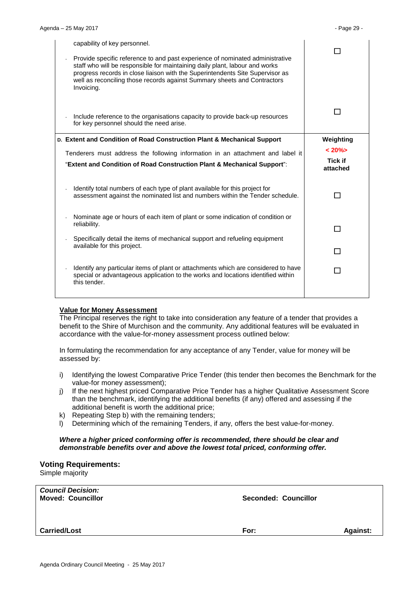| capability of key personnel.<br>Provide specific reference to and past experience of nominated administrative<br>staff who will be responsible for maintaining daily plant, labour and works<br>progress records in close liaison with the Superintendents Site Supervisor as<br>well as reconciling those records against Summary sheets and Contractors<br>Invoicing. |                            |
|-------------------------------------------------------------------------------------------------------------------------------------------------------------------------------------------------------------------------------------------------------------------------------------------------------------------------------------------------------------------------|----------------------------|
| Include reference to the organisations capacity to provide back-up resources<br>for key personnel should the need arise.                                                                                                                                                                                                                                                |                            |
| D. Extent and Condition of Road Construction Plant & Mechanical Support                                                                                                                                                                                                                                                                                                 | Weighting                  |
| Tenderers must address the following information in an attachment and label it                                                                                                                                                                                                                                                                                          | $< 20\%$                   |
| "Extent and Condition of Road Construction Plant & Mechanical Support":                                                                                                                                                                                                                                                                                                 | <b>Tick if</b><br>attached |
| Identify total numbers of each type of plant available for this project for<br>assessment against the nominated list and numbers within the Tender schedule.                                                                                                                                                                                                            |                            |
| Nominate age or hours of each item of plant or some indication of condition or<br>reliability.                                                                                                                                                                                                                                                                          |                            |
|                                                                                                                                                                                                                                                                                                                                                                         |                            |
| Specifically detail the items of mechanical support and refueling equipment<br>available for this project.                                                                                                                                                                                                                                                              |                            |
|                                                                                                                                                                                                                                                                                                                                                                         |                            |
| Identify any particular items of plant or attachments which are considered to have<br>special or advantageous application to the works and locations identified within<br>this tender.                                                                                                                                                                                  |                            |
|                                                                                                                                                                                                                                                                                                                                                                         |                            |

#### **Value for Money Assessment**

The Principal reserves the right to take into consideration any feature of a tender that provides a benefit to the Shire of Murchison and the community. Any additional features will be evaluated in accordance with the value-for-money assessment process outlined below:

In formulating the recommendation for any acceptance of any Tender, value for money will be assessed by:

- i) Identifying the lowest Comparative Price Tender (this tender then becomes the Benchmark for the value-for money assessment);
- j) If the next highest priced Comparative Price Tender has a higher Qualitative Assessment Score than the benchmark, identifying the additional benefits (if any) offered and assessing if the additional benefit is worth the additional price;
- k) Repeating Step b) with the remaining tenders;
- l) Determining which of the remaining Tenders, if any, offers the best value-for-money.

#### *Where a higher priced conforming offer is recommended, there should be clear and demonstrable benefits over and above the lowest total priced, conforming offer.*

#### **Voting Requirements:**

Simple majority

| <b>Council Decision:</b><br><b>Moved: Councillor</b> | Seconded: Councillor |                 |
|------------------------------------------------------|----------------------|-----------------|
| <b>Carried/Lost</b>                                  | For:                 | <b>Against:</b> |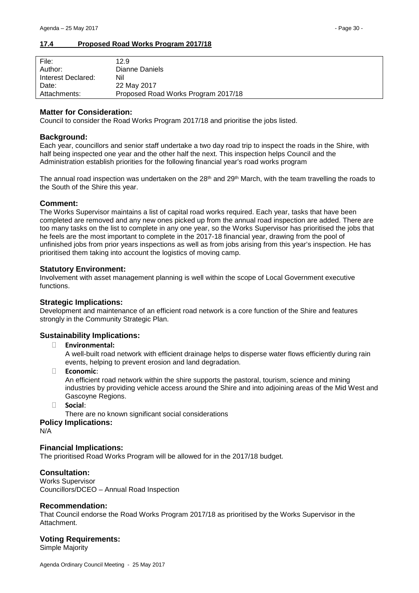#### <span id="page-29-0"></span>**17.4 Proposed Road Works Program 2017/18**

| File:              | 12.9                                |
|--------------------|-------------------------------------|
| Author:            | Dianne Daniels                      |
| Interest Declared: | Nil                                 |
| Date:              | 22 May 2017                         |
| Attachments:       | Proposed Road Works Program 2017/18 |

#### **Matter for Consideration:**

Council to consider the Road Works Program 2017/18 and prioritise the jobs listed.

#### **Background:**

Each year, councillors and senior staff undertake a two day road trip to inspect the roads in the Shire, with half being inspected one year and the other half the next. This inspection helps Council and the Administration establish priorities for the following financial year's road works program

The annual road inspection was undertaken on the  $28<sup>th</sup>$  and  $29<sup>th</sup>$  March, with the team travelling the roads to the South of the Shire this year.

#### **Comment:**

The Works Supervisor maintains a list of capital road works required. Each year, tasks that have been completed are removed and any new ones picked up from the annual road inspection are added. There are too many tasks on the list to complete in any one year, so the Works Supervisor has prioritised the jobs that he feels are the most important to complete in the 2017-18 financial year, drawing from the pool of unfinished jobs from prior years inspections as well as from jobs arising from this year's inspection. He has prioritised them taking into account the logistics of moving camp.

#### **Statutory Environment:**

Involvement with asset management planning is well within the scope of Local Government executive functions.

#### **Strategic Implications:**

Development and maintenance of an efficient road network is a core function of the Shire and features strongly in the Community Strategic Plan.

### **Sustainability Implications:**

#### � **Environmental:**

A well-built road network with efficient drainage helps to disperse water flows efficiently during rain events, helping to prevent erosion and land degradation.

#### � **Economic**:

An efficient road network within the shire supports the pastoral, tourism, science and mining industries by providing vehicle access around the Shire and into adjoining areas of the Mid West and Gascoyne Regions.

� **Social**:

There are no known significant social considerations

#### **Policy Implications:**

N/A

#### **Financial Implications:**

The prioritised Road Works Program will be allowed for in the 2017/18 budget.

#### **Consultation:**

Works Supervisor Councillors/DCEO – Annual Road Inspection

#### **Recommendation:**

That Council endorse the Road Works Program 2017/18 as prioritised by the Works Supervisor in the Attachment.

#### **Voting Requirements:**

Simple Majority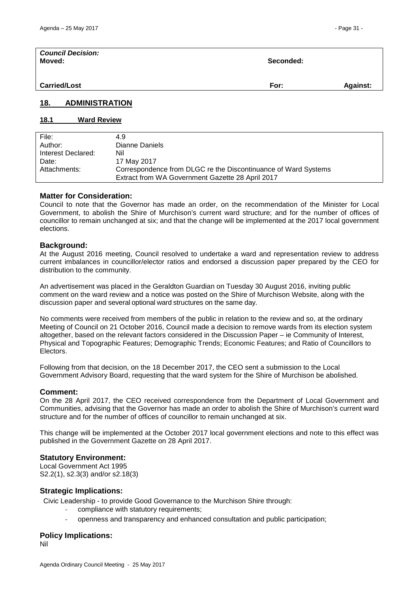| <b>Council Decision:</b><br>Moved: | Seconded: |                 |
|------------------------------------|-----------|-----------------|
| <b>Carried/Lost</b>                | For:      | <b>Against:</b> |

#### <span id="page-30-0"></span>**18. ADMINISTRATION**

### <span id="page-30-1"></span>**18.1 Ward Review**

| File:              | 4.9                                                            |
|--------------------|----------------------------------------------------------------|
| Author:            | Dianne Daniels                                                 |
| Interest Declared: | Nil                                                            |
| Date:              | 17 May 2017                                                    |
| Attachments:       | Correspondence from DLGC re the Discontinuance of Ward Systems |
|                    | Extract from WA Government Gazette 28 April 2017               |
|                    |                                                                |

#### **Matter for Consideration:**

Council to note that the Governor has made an order, on the recommendation of the Minister for Local Government, to abolish the Shire of Murchison's current ward structure; and for the number of offices of councillor to remain unchanged at six; and that the change will be implemented at the 2017 local government elections.

#### **Background:**

At the August 2016 meeting, Council resolved to undertake a ward and representation review to address current imbalances in councillor/elector ratios and endorsed a discussion paper prepared by the CEO for distribution to the community.

An advertisement was placed in the Geraldton Guardian on Tuesday 30 August 2016, inviting public comment on the ward review and a notice was posted on the Shire of Murchison Website, along with the discussion paper and several optional ward structures on the same day.

No comments were received from members of the public in relation to the review and so, at the ordinary Meeting of Council on 21 October 2016, Council made a decision to remove wards from its election system altogether, based on the relevant factors considered in the Discussion Paper – ie Community of Interest, Physical and Topographic Features; Demographic Trends; Economic Features; and Ratio of Councillors to Electors.

Following from that decision, on the 18 December 2017, the CEO sent a submission to the Local Government Advisory Board, requesting that the ward system for the Shire of Murchison be abolished.

#### **Comment:**

On the 28 April 2017, the CEO received correspondence from the Department of Local Government and Communities, advising that the Governor has made an order to abolish the Shire of Murchison's current ward structure and for the number of offices of councillor to remain unchanged at six.

This change will be implemented at the October 2017 local government elections and note to this effect was published in the Government Gazette on 28 April 2017.

#### **Statutory Environment:**

Local Government Act 1995 S2.2(1), s2.3(3) and/or s2.18(3)

#### **Strategic Implications:**

Civic Leadership - to provide Good Governance to the Murchison Shire through:

- compliance with statutory requirements;
- openness and transparency and enhanced consultation and public participation;

#### **Policy Implications:**

Nil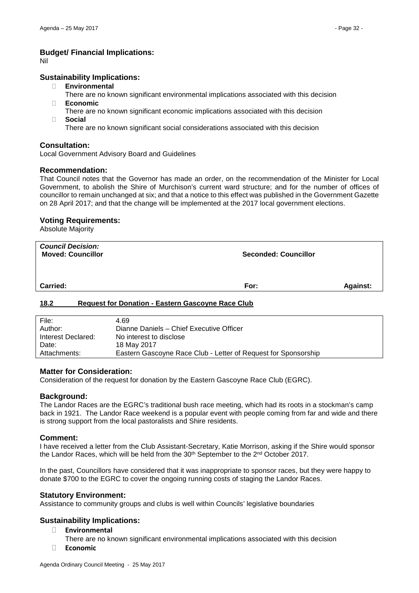#### **Budget/ Financial Implications:**

Nil

#### **Sustainability Implications:**

- � **Environmental**
- There are no known significant environmental implications associated with this decision � **Economic**
- There are no known significant economic implications associated with this decision � **Social**
	- There are no known significant social considerations associated with this decision

#### **Consultation:**

Local Government Advisory Board and Guidelines

#### **Recommendation:**

That Council notes that the Governor has made an order, on the recommendation of the Minister for Local Government, to abolish the Shire of Murchison's current ward structure; and for the number of offices of councillor to remain unchanged at six; and that a notice to this effect was published in the Government Gazette on 28 April 2017; and that the change will be implemented at the 2017 local government elections.

#### **Voting Requirements:**

Absolute Majority

| <b>Council Decision:</b><br><b>Moved: Councillor</b> | <b>Seconded: Councillor</b> |                 |
|------------------------------------------------------|-----------------------------|-----------------|
| Carried:                                             | For:                        | <b>Against:</b> |

#### <span id="page-31-0"></span>**18.2 Request for Donation - Eastern Gascoyne Race Club**

| File:              | 4.69                                                           |
|--------------------|----------------------------------------------------------------|
| Author:            | Dianne Daniels - Chief Executive Officer                       |
| Interest Declared: | No interest to disclose                                        |
| Date:              | 18 May 2017                                                    |
| Attachments:       | Eastern Gascoyne Race Club - Letter of Request for Sponsorship |

#### **Matter for Consideration:**

Consideration of the request for donation by the Eastern Gascoyne Race Club (EGRC).

#### **Background:**

The Landor Races are the EGRC's traditional bush race meeting, which had its roots in a stockman's camp back in 1921. The Landor Race weekend is a popular event with people coming from far and wide and there is strong support from the local pastoralists and Shire residents.

#### **Comment:**

I have received a letter from the Club Assistant-Secretary, Katie Morrison, asking if the Shire would sponsor the Landor Races, which will be held from the  $30<sup>th</sup>$  September to the  $2<sup>nd</sup>$  October 2017.

In the past, Councillors have considered that it was inappropriate to sponsor races, but they were happy to donate \$700 to the EGRC to cover the ongoing running costs of staging the Landor Races.

#### **Statutory Environment:**

Assistance to community groups and clubs is well within Councils' legislative boundaries

#### **Sustainability Implications:**

� **Environmental**

There are no known significant environmental implications associated with this decision

� **Economic**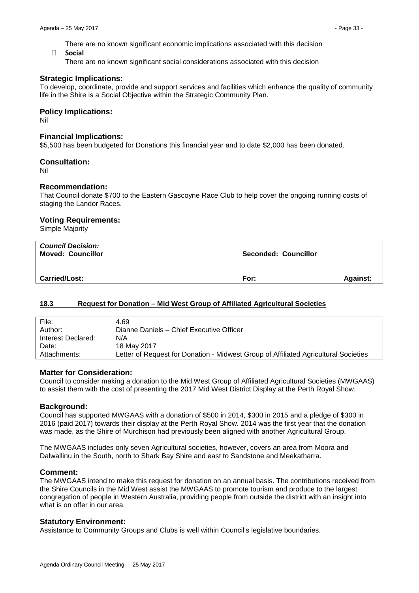There are no known significant economic implications associated with this decision

� **Social**

There are no known significant social considerations associated with this decision

#### **Strategic Implications:**

To develop, coordinate, provide and support services and facilities which enhance the quality of community life in the Shire is a Social Objective within the Strategic Community Plan.

#### **Policy Implications:**

Nil

#### **Financial Implications:**

\$5,500 has been budgeted for Donations this financial year and to date \$2,000 has been donated.

#### **Consultation:**

Nil

#### **Recommendation:**

That Council donate \$700 to the Eastern Gascoyne Race Club to help cover the ongoing running costs of staging the Landor Races.

#### **Voting Requirements:**

Simple Majority

| <b>Council Decision:</b><br><b>Moved: Councillor</b> | <b>Seconded: Councillor</b> |                 |
|------------------------------------------------------|-----------------------------|-----------------|
| <b>Carried/Lost:</b>                                 | For:                        | <b>Against:</b> |

#### <span id="page-32-0"></span>**18.3 Request for Donation – Mid West Group of Affiliated Agricultural Societies**

| File:              | 4.69                                                                                |
|--------------------|-------------------------------------------------------------------------------------|
| Author:            | Dianne Daniels - Chief Executive Officer                                            |
| Interest Declared: | N/A                                                                                 |
| Date:              | 18 May 2017                                                                         |
| Attachments:       | Letter of Request for Donation - Midwest Group of Affiliated Agricultural Societies |

#### **Matter for Consideration:**

Council to consider making a donation to the Mid West Group of Affiliated Agricultural Societies (MWGAAS) to assist them with the cost of presenting the 2017 Mid West District Display at the Perth Royal Show.

#### **Background:**

Council has supported MWGAAS with a donation of \$500 in 2014, \$300 in 2015 and a pledge of \$300 in 2016 (paid 2017) towards their display at the Perth Royal Show. 2014 was the first year that the donation was made, as the Shire of Murchison had previously been aligned with another Agricultural Group.

The MWGAAS includes only seven Agricultural societies, however, covers an area from Moora and Dalwallinu in the South, north to Shark Bay Shire and east to Sandstone and Meekatharra.

#### **Comment:**

The MWGAAS intend to make this request for donation on an annual basis. The contributions received from the Shire Councils in the Mid West assist the MWGAAS to promote tourism and produce to the largest congregation of people in Western Australia, providing people from outside the district with an insight into what is on offer in our area.

#### **Statutory Environment:**

Assistance to Community Groups and Clubs is well within Council's legislative boundaries.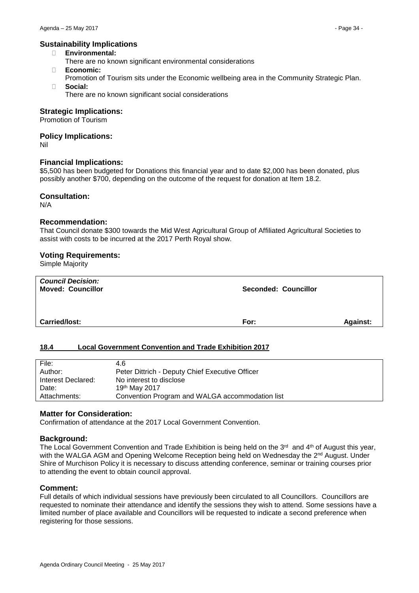#### **Sustainability Implications**

- � **Environmental:**
	- There are no known significant environmental considerations
- � **Economic:**
- Promotion of Tourism sits under the Economic wellbeing area in the Community Strategic Plan. � **Social:**
	- There are no known significant social considerations

#### **Strategic Implications:**

Promotion of Tourism

#### **Policy Implications:**

Nil

#### **Financial Implications:**

\$5,500 has been budgeted for Donations this financial year and to date \$2,000 has been donated, plus possibly another \$700, depending on the outcome of the request for donation at Item 18.2.

#### **Consultation:**

N/A

#### **Recommendation:**

That Council donate \$300 towards the Mid West Agricultural Group of Affiliated Agricultural Societies to assist with costs to be incurred at the 2017 Perth Royal show.

#### **Voting Requirements:**

Simple Majority

| <b>Council Decision:</b><br><b>Moved: Councillor</b> | <b>Seconded: Councillor</b> |                 |
|------------------------------------------------------|-----------------------------|-----------------|
| <b>Carried/lost:</b>                                 | For:                        | <b>Against:</b> |

#### <span id="page-33-0"></span>**18.4 Local Government Convention and Trade Exhibition 2017**

| File:              | 4.6                                             |
|--------------------|-------------------------------------------------|
| Author:            | Peter Dittrich - Deputy Chief Executive Officer |
| Interest Declared: | No interest to disclose                         |
| Date:              | 19th May 2017                                   |
| Attachments:       | Convention Program and WALGA accommodation list |

#### **Matter for Consideration:**

Confirmation of attendance at the 2017 Local Government Convention.

#### **Background:**

The Local Government Convention and Trade Exhibition is being held on the 3<sup>rd</sup> and 4<sup>th</sup> of August this year, with the WALGA AGM and Opening Welcome Reception being held on Wednesday the 2<sup>nd</sup> August. Under Shire of Murchison Policy it is necessary to discuss attending conference, seminar or training courses prior to attending the event to obtain council approval.

#### **Comment:**

Full details of which individual sessions have previously been circulated to all Councillors. Councillors are requested to nominate their attendance and identify the sessions they wish to attend. Some sessions have a limited number of place available and Councillors will be requested to indicate a second preference when registering for those sessions.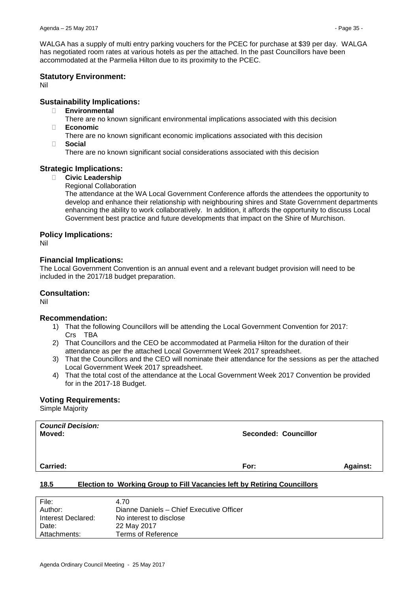WALGA has a supply of multi entry parking vouchers for the PCEC for purchase at \$39 per day. WALGA has negotiated room rates at various hotels as per the attached. In the past Councillors have been accommodated at the Parmelia Hilton due to its proximity to the PCEC.

#### **Statutory Environment:**

Nil

## **Sustainability Implications:**

� **Environmental**

There are no known significant environmental implications associated with this decision

- � **Economic**
	- There are no known significant economic implications associated with this decision
- � **Social**

There are no known significant social considerations associated with this decision

### **Strategic Implications:**

#### � **Civic Leadership**

Regional Collaboration

The attendance at the WA Local Government Conference affords the attendees the opportunity to develop and enhance their relationship with neighbouring shires and State Government departments enhancing the ability to work collaboratively. In addition, it affords the opportunity to discuss Local Government best practice and future developments that impact on the Shire of Murchison.

#### **Policy Implications:**

Nil

#### **Financial Implications:**

The Local Government Convention is an annual event and a relevant budget provision will need to be included in the 2017/18 budget preparation.

## **Consultation:**

Nil

### **Recommendation:**

- 1) That the following Councillors will be attending the Local Government Convention for 2017: Crs TBA
- 2) That Councillors and the CEO be accommodated at Parmelia Hilton for the duration of their attendance as per the attached Local Government Week 2017 spreadsheet.
- 3) That the Councillors and the CEO will nominate their attendance for the sessions as per the attached Local Government Week 2017 spreadsheet.
- 4) That the total cost of the attendance at the Local Government Week 2017 Convention be provided for in the 2017-18 Budget.

#### **Voting Requirements:**

Simple Majority

| <b>Council Decision:</b><br>Moved: |                                                                                 | Seconded: Councillor |                 |
|------------------------------------|---------------------------------------------------------------------------------|----------------------|-----------------|
| <b>Carried:</b>                    |                                                                                 | For:                 | <b>Against:</b> |
| 18 5                               | <b>Election to Working Group to Fill Vacancies left by Retiring Councillors</b> |                      |                 |

### <span id="page-34-0"></span>**18.5 Election to Working Group to Fill Vacancies left by Retiring Councillors**

| File:              | 4.70                                     |
|--------------------|------------------------------------------|
| Author:            | Dianne Daniels - Chief Executive Officer |
| Interest Declared: | No interest to disclose                  |
| Date:              | 22 May 2017                              |
| Attachments:       | Terms of Reference                       |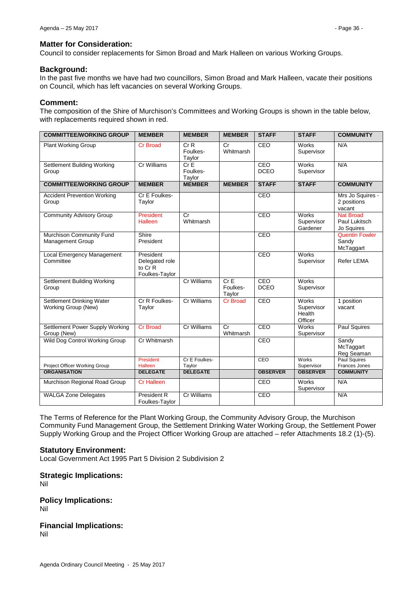#### **Matter for Consideration:**

Council to consider replacements for Simon Broad and Mark Halleen on various Working Groups.

#### **Background:**

In the past five months we have had two councillors, Simon Broad and Mark Halleen, vacate their positions on Council, which has left vacancies on several Working Groups.

#### **Comment:**

The composition of the Shire of Murchison's Committees and Working Groups is shown in the table below, with replacements required shown in red.

| <b>COMMITTEE/WORKING GROUP</b>                          | <b>MEMBER</b>                                            | <b>MEMBER</b>                       | <b>MEMBER</b>             | <b>STAFF</b>       | <b>STAFF</b>                             | <b>COMMUNITY</b>                                |
|---------------------------------------------------------|----------------------------------------------------------|-------------------------------------|---------------------------|--------------------|------------------------------------------|-------------------------------------------------|
| <b>Plant Working Group</b>                              | <b>Cr Broad</b>                                          | CrR<br>Foulkes-<br>Taylor           | Cr<br>Whitmarsh           | CEO                | Works<br>Supervisor                      | N/A                                             |
| <b>Settlement Building Working</b><br>Group             | <b>Cr Williams</b>                                       | CrE<br>Foulkes-<br>Taylor           |                           | CEO<br><b>DCEO</b> | Works<br>Supervisor                      | N/A                                             |
| <b>COMMITTEE/WORKING GROUP</b>                          | <b>MEMBER</b>                                            | <b>MEMBER</b>                       | <b>MEMBER</b>             | <b>STAFF</b>       | <b>STAFF</b>                             | <b>COMMUNITY</b>                                |
| <b>Accident Prevention Working</b><br>Group             | Cr E Foulkes-<br>Taylor                                  |                                     |                           | CEO                |                                          | Mrs Jo Squires -<br>2 positions<br>vacant       |
| <b>Community Advisory Group</b>                         | President<br>Halleen                                     | $\overline{\text{Cr}}$<br>Whitmarsh |                           | CEO                | <b>Works</b><br>Supervisor<br>Gardener   | <b>Nat Broad</b><br>Paul Lukitsch<br>Jo Squires |
| Murchison Community Fund<br><b>Management Group</b>     | Shire<br>President                                       |                                     |                           | CEO                |                                          | <b>Quentin Fowler</b><br>Sandy<br>McTaggart     |
| <b>Local Emergency Management</b><br>Committee          | President<br>Delegated role<br>to Cr R<br>Foulkes-Taylor |                                     |                           | CEO                | Works<br>Supervisor                      | Refer LEMA                                      |
| <b>Settlement Building Working</b><br>Group             |                                                          | Cr Williams                         | CrE<br>Foulkes-<br>Taylor | CEO<br><b>DCEO</b> | Works<br>Supervisor                      |                                                 |
| <b>Settlement Drinking Water</b><br>Working Group (New) | Cr R Foulkes-<br>Taylor                                  | Cr Williams                         | <b>Cr Broad</b>           | CEO                | Works<br>Supervisor<br>Health<br>Officer | 1 position<br>vacant                            |
| Settlement Power Supply Working<br>Group (New)          | <b>Cr Broad</b>                                          | Cr Williams                         | Cr<br>Whitmarsh           | CEO                | <b>Works</b><br>Supervisor               | Paul Squires                                    |
| Wild Dog Control Working Group                          | Cr Whitmarsh                                             |                                     |                           | CEO                |                                          | Sandy<br>McTaggart<br>Reg Seaman                |
| Project Officer Working Group                           | President<br><b>Halleen</b>                              | Cr E Foulkes-<br>Taylor             |                           | CEO                | Works<br>Supervisor                      | <b>Paul Squires</b><br>Frances Jones            |
| <b>ORGANISATION</b>                                     | <b>DELEGATE</b>                                          | <b>DELEGATE</b>                     |                           | <b>OBSERVER</b>    | <b>OBSERVER</b>                          | <b>COMMUNITY</b>                                |
| Murchison Regional Road Group                           | <b>Cr Halleen</b>                                        |                                     |                           | CEO                | <b>Works</b><br>Supervisor               | N/A                                             |
| <b>WALGA Zone Delegates</b>                             | <b>President R</b><br>Foulkes-Taylor                     | <b>Cr Williams</b>                  |                           | CEO                |                                          | N/A                                             |

The Terms of Reference for the Plant Working Group, the Community Advisory Group, the Murchison Community Fund Management Group, the Settlement Drinking Water Working Group, the Settlement Power Supply Working Group and the Project Officer Working Group are attached – refer Attachments 18.2 (1)-(5).

#### **Statutory Environment:**

Local Government Act 1995 Part 5 Division 2 Subdivision 2

**Strategic Implications:**

Nil

**Policy Implications:** Nil

**Financial Implications:** Nil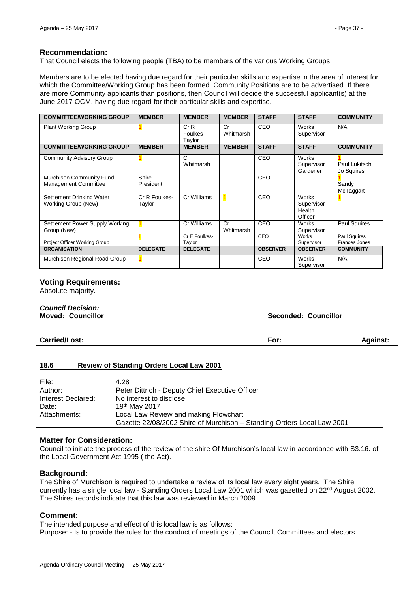#### **Recommendation:**

That Council elects the following people (TBA) to be members of the various Working Groups.

Members are to be elected having due regard for their particular skills and expertise in the area of interest for which the Committee/Working Group has been formed. Community Positions are to be advertised. If there are more Community applicants than positions, then Council will decide the successful applicant(s) at the June 2017 OCM, having due regard for their particular skills and expertise.

| <b>COMMITTEE/WORKING GROUP</b>                   | <b>MEMBER</b>           | <b>MEMBER</b>             | <b>MEMBER</b>   | <b>STAFF</b>    | <b>STAFF</b>                                    | <b>COMMUNITY</b>              |
|--------------------------------------------------|-------------------------|---------------------------|-----------------|-----------------|-------------------------------------------------|-------------------------------|
| <b>Plant Working Group</b>                       |                         | CrR<br>Foulkes-<br>Taylor | Cr<br>Whitmarsh | <b>CEO</b>      | <b>Works</b><br>Supervisor                      | N/A                           |
| <b>COMMITTEE/WORKING GROUP</b>                   | <b>MEMBER</b>           | <b>MEMBER</b>             | <b>MEMBER</b>   | <b>STAFF</b>    | <b>STAFF</b>                                    | <b>COMMUNITY</b>              |
| <b>Community Advisory Group</b>                  |                         | Cr<br>Whitmarsh           |                 | CEO             | <b>Works</b><br>Supervisor<br>Gardener          | Paul Lukitsch<br>Jo Squires   |
| Murchison Community Fund<br>Management Committee | Shire<br>President      |                           |                 | CEO             |                                                 | Sandy<br>McTaggart            |
| Settlement Drinking Water<br>Working Group (New) | Cr R Foulkes-<br>Taylor | Cr Williams               |                 | CEO             | <b>Works</b><br>Supervisor<br>Health<br>Officer |                               |
| Settlement Power Supply Working<br>Group (New)   |                         | Cr Williams               | Cr<br>Whitmarsh | CEO             | Works<br>Supervisor                             | Paul Squires                  |
| Project Officer Working Group                    |                         | Cr E Foulkes-<br>Taylor   |                 | CEO             | Works<br>Supervisor                             | Paul Squires<br>Frances Jones |
| <b>ORGANISATION</b>                              | <b>DELEGATE</b>         | <b>DELEGATE</b>           |                 | <b>OBSERVER</b> | <b>OBSERVER</b>                                 | <b>COMMUNITY</b>              |
| Murchison Regional Road Group                    |                         |                           |                 | CEO             | <b>Works</b><br>Supervisor                      | N/A                           |

#### **Voting Requirements:**

Absolute majority.

| <b>Council Decision:</b><br><b>Moved: Councillor</b> | Seconded: Councillor |                 |
|------------------------------------------------------|----------------------|-----------------|
| <b>Carried/Lost:</b>                                 | For:                 | <b>Against:</b> |

#### <span id="page-36-0"></span>**18.6 Review of Standing Orders Local Law 2001**

| File:              | 4.28                                                                   |
|--------------------|------------------------------------------------------------------------|
| Author:            | Peter Dittrich - Deputy Chief Executive Officer                        |
| Interest Declared: | No interest to disclose                                                |
| Date:              | 19th May 2017                                                          |
| Attachments:       | Local Law Review and making Flowchart                                  |
|                    | Gazette 22/08/2002 Shire of Murchison - Standing Orders Local Law 2001 |

#### **Matter for Consideration:**

Council to initiate the process of the review of the shire Of Murchison's local law in accordance with S3.16. of the Local Government Act 1995 ( the Act).

#### **Background:**

The Shire of Murchison is required to undertake a review of its local law every eight years. The Shire currently has a single local law - Standing Orders Local Law 2001 which was gazetted on 22nd August 2002. The Shires records indicate that this law was reviewed in March 2009.

#### **Comment:**

The intended purpose and effect of this local law is as follows: Purpose: - Is to provide the rules for the conduct of meetings of the Council, Committees and electors.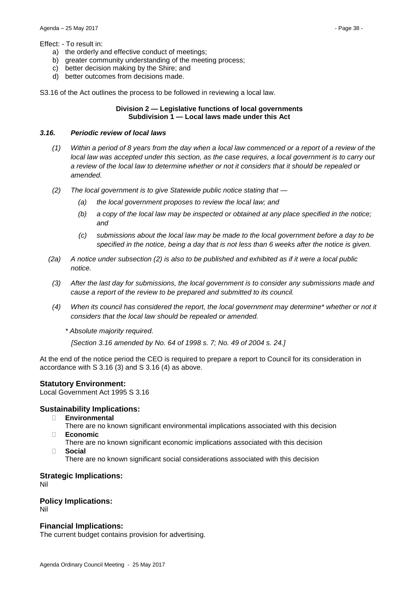#### Effect: - To result in:

- a) the orderly and effective conduct of meetings;
- b) greater community understanding of the meeting process;
- c) better decision making by the Shire; and
- d) better outcomes from decisions made.

S3.16 of the Act outlines the process to be followed in reviewing a local law.

#### **Division 2 — Legislative functions of local governments Subdivision 1 — Local laws made under this Act**

#### *3.16. Periodic review of local laws*

- *(1) Within a period of 8 years from the day when a local law commenced or a report of a review of the local law was accepted under this section, as the case requires, a local government is to carry out a review of the local law to determine whether or not it considers that it should be repealed or amended.*
- *(2) The local government is to give Statewide public notice stating that —*
	- *(a) the local government proposes to review the local law; and*
	- *(b) a copy of the local law may be inspected or obtained at any place specified in the notice; and*
	- *(c) submissions about the local law may be made to the local government before a day to be specified in the notice, being a day that is not less than 6 weeks after the notice is given.*
- *(2a) A notice under subsection (2) is also to be published and exhibited as if it were a local public notice.*
- *(3) After the last day for submissions, the local government is to consider any submissions made and cause a report of the review to be prepared and submitted to its council.*
- *(4) When its council has considered the report, the local government may determine\* whether or not it considers that the local law should be repealed or amended.*
	- *\* Absolute majority required.*

*[Section 3.16 amended by No. 64 of 1998 s. 7; No. 49 of 2004 s. 24.]*

At the end of the notice period the CEO is required to prepare a report to Council for its consideration in accordance with S 3.16 (3) and S 3.16 (4) as above.

#### **Statutory Environment:**

Local Government Act 1995 S 3.16

#### **Sustainability Implications:**

- � **Environmental**
- There are no known significant environmental implications associated with this decision � **Economic**
	- There are no known significant economic implications associated with this decision
- � **Social**

There are no known significant social considerations associated with this decision

# **Strategic Implications:**

Nil

# **Policy Implications:**

Nil

#### **Financial Implications:**

The current budget contains provision for advertising.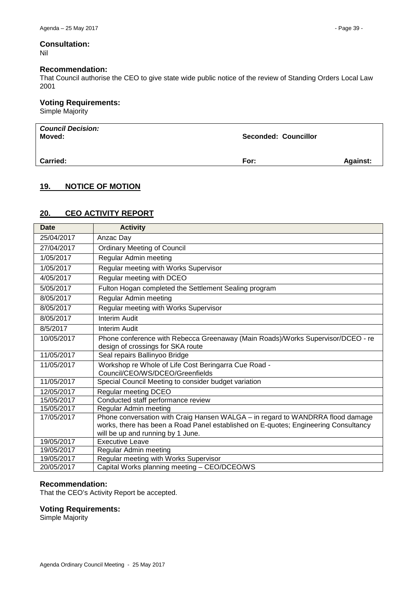# **Consultation:**

Nil

#### **Recommendation:**

That Council authorise the CEO to give state wide public notice of the review of Standing Orders Local Law 2001

#### **Voting Requirements:**

Simple Majority

| <b>Council Decision:</b><br>Moved: | <b>Seconded: Councillor</b> |                 |
|------------------------------------|-----------------------------|-----------------|
| <b>Carried:</b>                    | For:                        | <b>Against:</b> |

# <span id="page-38-0"></span>**19. NOTICE OF MOTION**

# <span id="page-38-1"></span>**20. CEO ACTIVITY REPORT**

| <b>Date</b> | <b>Activity</b>                                                                                                                                                                                            |
|-------------|------------------------------------------------------------------------------------------------------------------------------------------------------------------------------------------------------------|
| 25/04/2017  | Anzac Day                                                                                                                                                                                                  |
| 27/04/2017  | <b>Ordinary Meeting of Council</b>                                                                                                                                                                         |
| 1/05/2017   | Regular Admin meeting                                                                                                                                                                                      |
| 1/05/2017   | Regular meeting with Works Supervisor                                                                                                                                                                      |
| 4/05/2017   | Regular meeting with DCEO                                                                                                                                                                                  |
| 5/05/2017   | Fulton Hogan completed the Settlement Sealing program                                                                                                                                                      |
| 8/05/2017   | Regular Admin meeting                                                                                                                                                                                      |
| 8/05/2017   | Regular meeting with Works Supervisor                                                                                                                                                                      |
| 8/05/2017   | <b>Interim Audit</b>                                                                                                                                                                                       |
| 8/5/2017    | <b>Interim Audit</b>                                                                                                                                                                                       |
| 10/05/2017  | Phone conference with Rebecca Greenaway (Main Roads)/Works Supervisor/DCEO - re<br>design of crossings for SKA route                                                                                       |
| 11/05/2017  | Seal repairs Ballinyoo Bridge                                                                                                                                                                              |
| 11/05/2017  | Workshop re Whole of Life Cost Beringarra Cue Road -<br>Council/CEO/WS/DCEO/Greenfields                                                                                                                    |
| 11/05/2017  | Special Council Meeting to consider budget variation                                                                                                                                                       |
| 12/05/2017  | <b>Regular meeting DCEO</b>                                                                                                                                                                                |
| 15/05/2017  | Conducted staff performance review                                                                                                                                                                         |
| 15/05/2017  | Regular Admin meeting                                                                                                                                                                                      |
| 17/05/2017  | Phone conversation with Craig Hansen WALGA - in regard to WANDRRA flood damage<br>works, there has been a Road Panel established on E-quotes; Engineering Consultancy<br>will be up and running by 1 June. |
| 19/05/2017  | Executive Leave                                                                                                                                                                                            |
| 19/05/2017  | Regular Admin meeting                                                                                                                                                                                      |
| 19/05/2017  | Regular meeting with Works Supervisor                                                                                                                                                                      |
| 20/05/2017  | Capital Works planning meeting - CEO/DCEO/WS                                                                                                                                                               |

#### **Recommendation:**

That the CEO's Activity Report be accepted.

#### **Voting Requirements:**

Simple Majority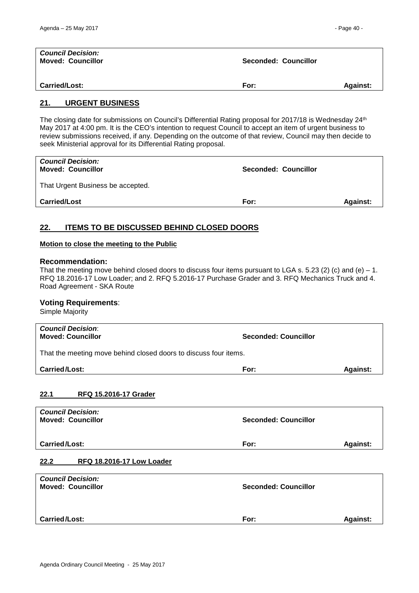| <b>Council Decision:</b><br><b>Moved: Councillor</b> | Seconded: Councillor |                 |
|------------------------------------------------------|----------------------|-----------------|
| <b>Carried/Lost:</b>                                 | For:                 | <b>Against:</b> |

#### <span id="page-39-0"></span>**21. URGENT BUSINESS**

The closing date for submissions on Council's Differential Rating proposal for 2017/18 is Wednesday 24<sup>th</sup> May 2017 at 4:00 pm. It is the CEO's intention to request Council to accept an item of urgent business to review submissions received, if any. Depending on the outcome of that review, Council may then decide to seek Ministerial approval for its Differential Rating proposal.

| <b>Carried/Lost</b>                                  | For:                 | <b>Against:</b> |
|------------------------------------------------------|----------------------|-----------------|
| That Urgent Business be accepted.                    |                      |                 |
| <b>Council Decision:</b><br><b>Moved: Councillor</b> | Seconded: Councillor |                 |

# <span id="page-39-1"></span>**22. ITEMS TO BE DISCUSSED BEHIND CLOSED DOORS**

#### **Motion to close the meeting to the Public**

#### **Recommendation:**

That the meeting move behind closed doors to discuss four items pursuant to LGA s. 5.23 (2) (c) and (e)  $-1$ . RFQ 18.2016-17 Low Loader; and 2. RFQ 5.2016-17 Purchase Grader and 3. RFQ Mechanics Truck and 4. Road Agreement - SKA Route

#### **Voting Requirements**:

Simple Majority

| <b>Council Decision:</b><br><b>Moved: Councillor</b>             | <b>Seconded: Councillor</b> |                 |
|------------------------------------------------------------------|-----------------------------|-----------------|
| That the meeting move behind closed doors to discuss four items. |                             |                 |
| <b>Carried/Lost:</b>                                             | For:                        | <b>Against:</b> |
|                                                                  |                             |                 |

#### <span id="page-39-2"></span>**22.1 RFQ 15.2016-17 Grader**

<span id="page-39-3"></span>

| <b>Council Decision:</b>          |                             |                 |
|-----------------------------------|-----------------------------|-----------------|
| <b>Moved: Councillor</b>          | <b>Seconded: Councillor</b> |                 |
|                                   |                             |                 |
| Carried/Lost:                     | For:                        | <b>Against:</b> |
|                                   |                             |                 |
| 22.2<br>RFQ 18.2016-17 Low Loader |                             |                 |
|                                   |                             |                 |
| <b>Council Decision:</b>          |                             |                 |
| <b>Moved: Councillor</b>          | <b>Seconded: Councillor</b> |                 |
|                                   |                             |                 |
|                                   |                             |                 |
| Carried/Lost:                     | For:                        | <b>Against:</b> |
|                                   |                             |                 |